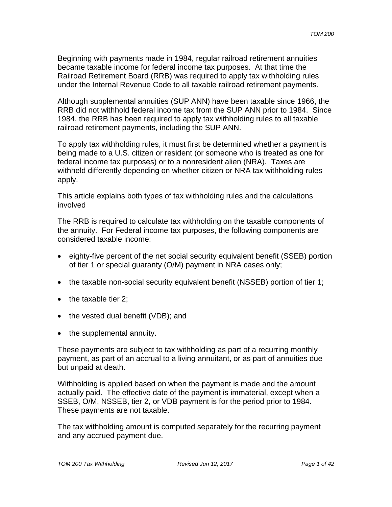Beginning with payments made in 1984, regular railroad retirement annuities became taxable income for federal income tax purposes. At that time the Railroad Retirement Board (RRB) was required to apply tax withholding rules under the Internal Revenue Code to all taxable railroad retirement payments.

Although supplemental annuities (SUP ANN) have been taxable since 1966, the RRB did not withhold federal income tax from the SUP ANN prior to 1984. Since 1984, the RRB has been required to apply tax withholding rules to all taxable railroad retirement payments, including the SUP ANN.

To apply tax withholding rules, it must first be determined whether a payment is being made to a U.S. citizen or resident (or someone who is treated as one for federal income tax purposes) or to a nonresident alien (NRA). Taxes are withheld differently depending on whether citizen or NRA tax withholding rules apply.

This article explains both types of tax withholding rules and the calculations involved

The RRB is required to calculate tax withholding on the taxable components of the annuity. For Federal income tax purposes, the following components are considered taxable income:

- eighty-five percent of the net social security equivalent benefit (SSEB) portion of tier 1 or special guaranty (O/M) payment in NRA cases only;
- the taxable non-social security equivalent benefit (NSSEB) portion of tier 1;
- the taxable tier 2;
- the vested dual benefit (VDB); and
- the supplemental annuity.

These payments are subject to tax withholding as part of a recurring monthly payment, as part of an accrual to a living annuitant, or as part of annuities due but unpaid at death.

Withholding is applied based on when the payment is made and the amount actually paid. The effective date of the payment is immaterial, except when a SSEB, O/M, NSSEB, tier 2, or VDB payment is for the period prior to 1984. These payments are not taxable.

The tax withholding amount is computed separately for the recurring payment and any accrued payment due.

*TOM 200 Tax Withholding Revised Jun 12, 2017 Page 1 of 42*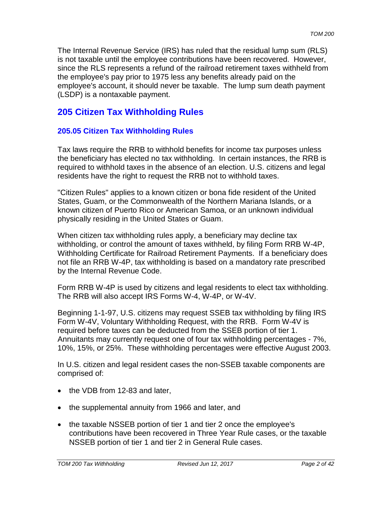The Internal Revenue Service (IRS) has ruled that the residual lump sum (RLS) is not taxable until the employee contributions have been recovered. However, since the RLS represents a refund of the railroad retirement taxes withheld from the employee's pay prior to 1975 less any benefits already paid on the employee's account, it should never be taxable. The lump sum death payment (LSDP) is a nontaxable payment.

# **205 Citizen Tax Withholding Rules**

# **205.05 Citizen Tax Withholding Rules**

Tax laws require the RRB to withhold benefits for income tax purposes unless the beneficiary has elected no tax withholding. In certain instances, the RRB is required to withhold taxes in the absence of an election. U.S. citizens and legal residents have the right to request the RRB not to withhold taxes.

"Citizen Rules" applies to a known citizen or bona fide resident of the United States, Guam, or the Commonwealth of the Northern Mariana Islands, or a known citizen of Puerto Rico or American Samoa, or an unknown individual physically residing in the United States or Guam.

When citizen tax withholding rules apply, a beneficiary may decline tax withholding, or control the amount of taxes withheld, by filing Form RRB W-4P, Withholding Certificate for Railroad Retirement Payments. If a beneficiary does not file an RRB W-4P, tax withholding is based on a mandatory rate prescribed by the Internal Revenue Code.

Form RRB W-4P is used by citizens and legal residents to elect tax withholding. The RRB will also accept IRS Forms W-4, W-4P, or W-4V.

Beginning 1-1-97, U.S. citizens may request SSEB tax withholding by filing IRS Form W-4V, Voluntary Withholding Request, with the RRB. Form W-4V is required before taxes can be deducted from the SSEB portion of tier 1. Annuitants may currently request one of four tax withholding percentages - 7%, 10%, 15%, or 25%. These withholding percentages were effective August 2003.

In U.S. citizen and legal resident cases the non-SSEB taxable components are comprised of:

- the VDB from 12-83 and later,
- the supplemental annuity from 1966 and later, and
- the taxable NSSEB portion of tier 1 and tier 2 once the employee's contributions have been recovered in Three Year Rule cases, or the taxable NSSEB portion of tier 1 and tier 2 in General Rule cases.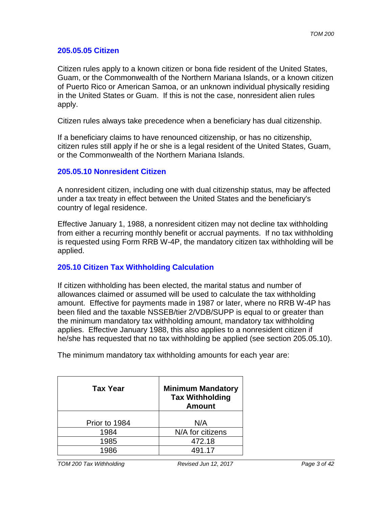#### **205.05.05 Citizen**

Citizen rules apply to a known citizen or bona fide resident of the United States, Guam, or the Commonwealth of the Northern Mariana Islands, or a known citizen of Puerto Rico or American Samoa, or an unknown individual physically residing in the United States or Guam. If this is not the case, nonresident alien rules apply.

Citizen rules always take precedence when a beneficiary has dual citizenship.

If a beneficiary claims to have renounced citizenship, or has no citizenship, citizen rules still apply if he or she is a legal resident of the United States, Guam, or the Commonwealth of the Northern Mariana Islands.

#### **205.05.10 Nonresident Citizen**

A nonresident citizen, including one with dual citizenship status, may be affected under a tax treaty in effect between the United States and the beneficiary's country of legal residence.

Effective January 1, 1988, a nonresident citizen may not decline tax withholding from either a recurring monthly benefit or accrual payments. If no tax withholding is requested using Form RRB W-4P, the mandatory citizen tax withholding will be applied.

## **205.10 Citizen Tax Withholding Calculation**

If citizen withholding has been elected, the marital status and number of allowances claimed or assumed will be used to calculate the tax withholding amount. Effective for payments made in 1987 or later, where no RRB W-4P has been filed and the taxable NSSEB/tier 2/VDB/SUPP is equal to or greater than the minimum mandatory tax withholding amount, mandatory tax withholding applies. Effective January 1988, this also applies to a nonresident citizen if he/she has requested that no tax withholding be applied (see section 205.05.10).

The minimum mandatory tax withholding amounts for each year are:

| <b>Tax Year</b> | <b>Minimum Mandatory</b><br><b>Tax Withholding</b><br><b>Amount</b> |
|-----------------|---------------------------------------------------------------------|
| Prior to 1984   | N/A                                                                 |
| 1984            | N/A for citizens                                                    |
| 1985            | 472.18                                                              |
| 1986            | 491.17                                                              |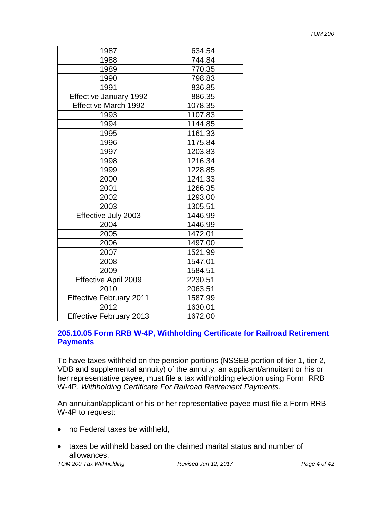| 1987                           | 634.54  |
|--------------------------------|---------|
| 1988                           | 744.84  |
| 1989                           | 770.35  |
| 1990                           | 798.83  |
| 1991                           | 836.85  |
| <b>Effective January 1992</b>  | 886.35  |
| Effective March 1992           | 1078.35 |
| 1993                           | 1107.83 |
| 1994                           | 1144.85 |
| 1995                           | 1161.33 |
| 1996                           | 1175.84 |
| 1997                           | 1203.83 |
| 1998                           | 1216.34 |
| 1999                           | 1228.85 |
| 2000                           | 1241.33 |
| 2001                           | 1266.35 |
| 2002                           | 1293.00 |
| 2003                           | 1305.51 |
| Effective July 2003            | 1446.99 |
| 2004                           | 1446.99 |
| 2005                           | 1472.01 |
| 2006                           | 1497.00 |
| 2007                           | 1521.99 |
| 2008                           | 1547.01 |
| 2009                           | 1584.51 |
| Effective April 2009           | 2230.51 |
| 2010                           | 2063.51 |
| <b>Effective February 2011</b> | 1587.99 |
| 2012                           | 1630.01 |
| <b>Effective February 2013</b> | 1672.00 |

## **205.10.05 Form RRB W-4P, Withholding Certificate for Railroad Retirement Payments**

To have taxes withheld on the pension portions (NSSEB portion of tier 1, tier 2, VDB and supplemental annuity) of the annuity, an applicant/annuitant or his or her representative payee, must file a tax withholding election using Form RRB W-4P, *Withholding Certificate For Railroad Retirement Payments*.

An annuitant/applicant or his or her representative payee must file a Form RRB W-4P to request:

- no Federal taxes be withheld,
- taxes be withheld based on the claimed marital status and number of allowances,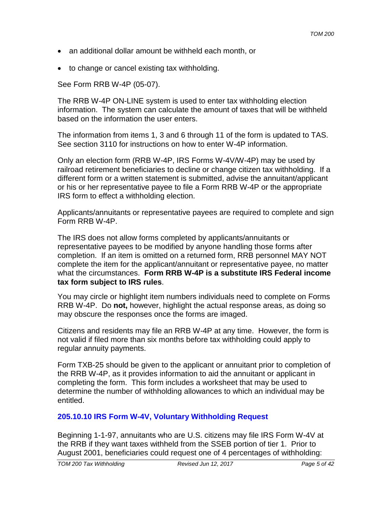- an additional dollar amount be withheld each month, or
- to change or cancel existing tax withholding.

See Form RRB W-4P (05-07).

The RRB W-4P ON-LINE system is used to enter tax withholding election information. The system can calculate the amount of taxes that will be withheld based on the information the user enters.

The information from items 1, 3 and 6 through 11 of the form is updated to TAS. See section 3110 for instructions on how to enter W-4P information.

Only an election form (RRB W-4P, IRS Forms W-4V/W-4P) may be used by railroad retirement beneficiaries to decline or change citizen tax withholding. If a different form or a written statement is submitted, advise the annuitant/applicant or his or her representative payee to file a Form RRB W-4P or the appropriate IRS form to effect a withholding election.

Applicants/annuitants or representative payees are required to complete and sign Form RRB W-4P.

The IRS does not allow forms completed by applicants/annuitants or representative payees to be modified by anyone handling those forms after completion. If an item is omitted on a returned form, RRB personnel MAY NOT complete the item for the applicant/annuitant or representative payee, no matter what the circumstances. **Form RRB W-4P is a substitute IRS Federal income tax form subject to IRS rules**.

You may circle or highlight item numbers individuals need to complete on Forms RRB W-4P. Do **not,** however, highlight the actual response areas, as doing so may obscure the responses once the forms are imaged.

Citizens and residents may file an RRB W-4P at any time. However, the form is not valid if filed more than six months before tax withholding could apply to regular annuity payments.

Form TXB-25 should be given to the applicant or annuitant prior to completion of the RRB W-4P, as it provides information to aid the annuitant or applicant in completing the form. This form includes a worksheet that may be used to determine the number of withholding allowances to which an individual may be entitled.

# **205.10.10 IRS Form W-4V, Voluntary Withholding Request**

Beginning 1-1-97, annuitants who are U.S. citizens may file IRS Form W-4V at the RRB if they want taxes withheld from the SSEB portion of tier 1. Prior to August 2001, beneficiaries could request one of 4 percentages of withholding: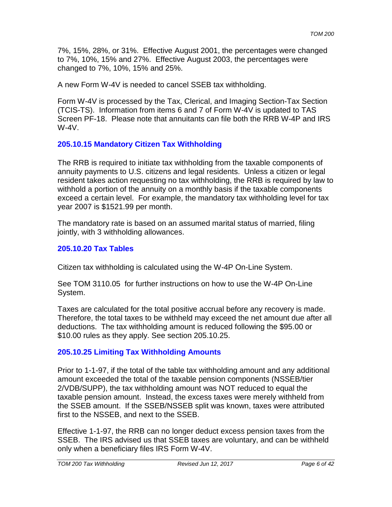7%, 15%, 28%, or 31%. Effective August 2001, the percentages were changed to 7%, 10%, 15% and 27%. Effective August 2003, the percentages were changed to 7%, 10%, 15% and 25%.

A new Form W-4V is needed to cancel SSEB tax withholding.

Form W-4V is processed by the Tax, Clerical, and Imaging Section-Tax Section (TCIS-TS). Information from items 6 and 7 of Form W-4V is updated to TAS Screen PF-18. Please note that annuitants can file both the RRB W-4P and IRS W-4V.

# **205.10.15 Mandatory Citizen Tax Withholding**

The RRB is required to initiate tax withholding from the taxable components of annuity payments to U.S. citizens and legal residents. Unless a citizen or legal resident takes action requesting no tax withholding, the RRB is required by law to withhold a portion of the annuity on a monthly basis if the taxable components exceed a certain level. For example, the mandatory tax withholding level for tax year 2007 is \$1521.99 per month.

The mandatory rate is based on an assumed marital status of married, filing jointly, with 3 withholding allowances.

## **205.10.20 Tax Tables**

Citizen tax withholding is calculated using the W-4P On-Line System.

See TOM 3110.05 for further instructions on how to use the W-4P On-Line System.

Taxes are calculated for the total positive accrual before any recovery is made. Therefore, the total taxes to be withheld may exceed the net amount due after all deductions. The tax withholding amount is reduced following the \$95.00 or \$10.00 rules as they apply. See section 205.10.25.

# **205.10.25 Limiting Tax Withholding Amounts**

Prior to 1-1-97, if the total of the table tax withholding amount and any additional amount exceeded the total of the taxable pension components (NSSEB/tier 2/VDB/SUPP), the tax withholding amount was NOT reduced to equal the taxable pension amount. Instead, the excess taxes were merely withheld from the SSEB amount. If the SSEB/NSSEB split was known, taxes were attributed first to the NSSEB, and next to the SSEB.

Effective 1-1-97, the RRB can no longer deduct excess pension taxes from the SSEB. The IRS advised us that SSEB taxes are voluntary, and can be withheld only when a beneficiary files IRS Form W-4V.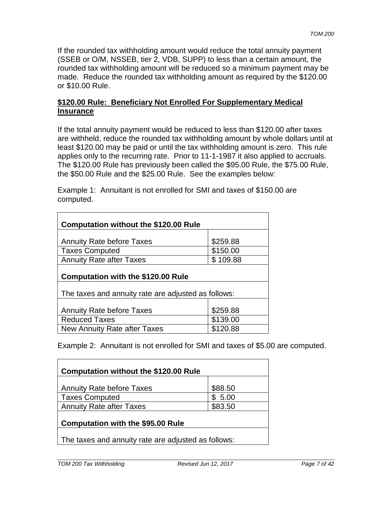If the rounded tax withholding amount would reduce the total annuity payment (SSEB or O/M, NSSEB, tier 2, VDB, SUPP) to less than a certain amount, the rounded tax withholding amount will be reduced so a minimum payment may be made. Reduce the rounded tax withholding amount as required by the \$120.00 or \$10.00 Rule.

## **\$120.00 Rule: Beneficiary Not Enrolled For Supplementary Medical Insurance**

If the total annuity payment would be reduced to less than \$120.00 after taxes are withheld, reduce the rounded tax withholding amount by whole dollars until at least \$120.00 may be paid or until the tax withholding amount is zero. This rule applies only to the recurring rate. Prior to 11-1-1987 it also applied to accruals. The \$120.00 Rule has previously been called the \$95.00 Rule, the \$75.00 Rule, the \$50.00 Rule and the \$25.00 Rule. See the examples below:

Example 1: Annuitant is not enrolled for SMI and taxes of \$150.00 are computed.

| <b>Computation without the \$120.00 Rule</b>        |          |
|-----------------------------------------------------|----------|
| <b>Annuity Rate before Taxes</b>                    | \$259.88 |
| <b>Taxes Computed</b>                               | \$150.00 |
| <b>Annuity Rate after Taxes</b>                     | \$109.88 |
| <b>Computation with the \$120.00 Rule</b>           |          |
| The taxes and annuity rate are adjusted as follows: |          |
| <b>Annuity Rate before Taxes</b>                    | \$259.88 |
| <b>Reduced Taxes</b>                                | \$139.00 |
| New Annuity Rate after Taxes                        | \$120.88 |

Example 2: Annuitant is not enrolled for SMI and taxes of \$5.00 are computed.

| <b>Computation without the \$120.00 Rule</b> |         |
|----------------------------------------------|---------|
| <b>Annuity Rate before Taxes</b>             | \$88.50 |
| Taxes Computed                               | \$5.00  |
| <b>Annuity Rate after Taxes</b>              | \$83.50 |
| <b>Computation with the \$95.00 Rule</b>     |         |

The taxes and annuity rate are adjusted as follows: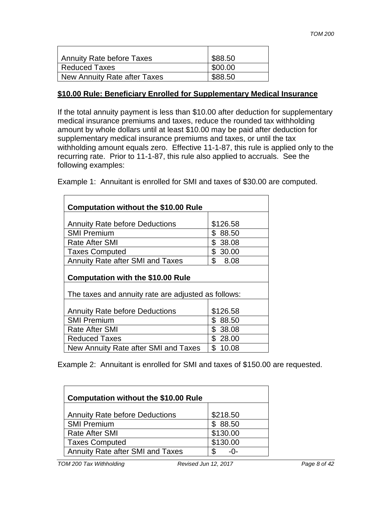| Annuity Rate before Taxes    | \$88.50 |
|------------------------------|---------|
| Reduced Taxes                | \$00.00 |
| New Annuity Rate after Taxes | \$88.50 |

#### **\$10.00 Rule: Beneficiary Enrolled for Supplementary Medical Insurance**

If the total annuity payment is less than \$10.00 after deduction for supplementary medical insurance premiums and taxes, reduce the rounded tax withholding amount by whole dollars until at least \$10.00 may be paid after deduction for supplementary medical insurance premiums and taxes, or until the tax withholding amount equals zero. Effective 11-1-87, this rule is applied only to the recurring rate. Prior to 11-1-87, this rule also applied to accruals. See the following examples:

Example 1: Annuitant is enrolled for SMI and taxes of \$30.00 are computed.

| <b>Computation without the \$10.00 Rule</b>         |                        |  |
|-----------------------------------------------------|------------------------|--|
|                                                     |                        |  |
| <b>Annuity Rate before Deductions</b>               | \$126.58               |  |
| <b>SMI Premium</b>                                  | \$<br>88.50            |  |
| <b>Rate After SMI</b>                               | \$38.08                |  |
| <b>Taxes Computed</b>                               | \$30.00                |  |
| <b>Annuity Rate after SMI and Taxes</b>             | $\mathbb{S}^-$<br>8.08 |  |
| <b>Computation with the \$10.00 Rule</b>            |                        |  |
| The taxes and annuity rate are adjusted as follows: |                        |  |
| <b>Annuity Rate before Deductions</b>               | \$126.58               |  |
|                                                     |                        |  |
| <b>SMI Premium</b>                                  | \$<br>88.50            |  |
| <b>Rate After SMI</b>                               | \$38.08                |  |
| <b>Reduced Taxes</b>                                | \$28.00                |  |
| New Annuity Rate after SMI and Taxes                | \$10.08                |  |

Example 2: Annuitant is enrolled for SMI and taxes of \$150.00 are requested.

| <b>Computation without the \$10.00 Rule</b> |           |
|---------------------------------------------|-----------|
| <b>Annuity Rate before Deductions</b>       | \$218.50  |
| <b>SMI Premium</b>                          | \$88.50   |
| <b>Rate After SMI</b>                       | \$130.00  |
| <b>Taxes Computed</b>                       | \$130.00  |
| <b>Annuity Rate after SMI and Taxes</b>     | \$<br>-0- |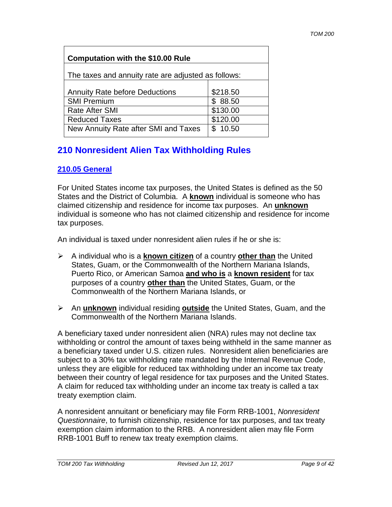| <b>Computation with the \$10.00 Rule</b>            |          |
|-----------------------------------------------------|----------|
| The taxes and annuity rate are adjusted as follows: |          |
| <b>Annuity Rate before Deductions</b>               | \$218.50 |
| <b>SMI Premium</b>                                  | \$88.50  |
| <b>Rate After SMI</b>                               | \$130.00 |
| <b>Reduced Taxes</b>                                | \$120.00 |
| New Annuity Rate after SMI and Taxes                | \$10.50  |

# **210 Nonresident Alien Tax Withholding Rules**

# **210.05 General**

For United States income tax purposes, the United States is defined as the 50 States and the District of Columbia. A **known** individual is someone who has claimed citizenship and residence for income tax purposes. An **unknown** individual is someone who has not claimed citizenship and residence for income tax purposes.

An individual is taxed under nonresident alien rules if he or she is:

- A individual who is a **known citizen** of a country **other than** the United States, Guam, or the Commonwealth of the Northern Mariana Islands, Puerto Rico, or American Samoa **and who is** a **known resident** for tax purposes of a country **other than** the United States, Guam, or the Commonwealth of the Northern Mariana Islands, or
- An **unknown** individual residing **outside** the United States, Guam, and the Commonwealth of the Northern Mariana Islands.

A beneficiary taxed under nonresident alien (NRA) rules may not decline tax withholding or control the amount of taxes being withheld in the same manner as a beneficiary taxed under U.S. citizen rules. Nonresident alien beneficiaries are subject to a 30% tax withholding rate mandated by the Internal Revenue Code, unless they are eligible for reduced tax withholding under an income tax treaty between their country of legal residence for tax purposes and the United States. A claim for reduced tax withholding under an income tax treaty is called a tax treaty exemption claim.

A nonresident annuitant or beneficiary may file Form RRB-1001, *Nonresident Questionnaire*, to furnish citizenship, residence for tax purposes, and tax treaty exemption claim information to the RRB. A nonresident alien may file Form RRB-1001 Buff to renew tax treaty exemption claims.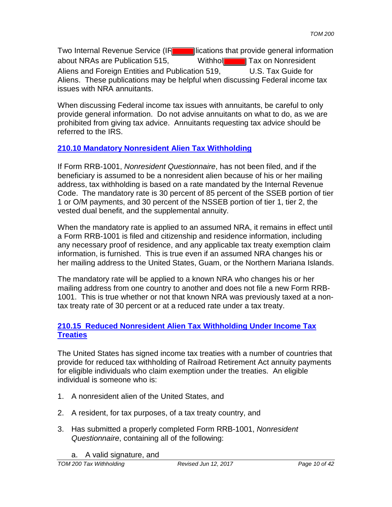Two Internal Revenue Service (IR**N 2008)** lications that provide general information about NRAs are Publication 515. Withhold Tax on Nonresident Aliens and Foreign Entities and Publication 519, U.S. Tax Guide for Aliens. These publications may be helpful when discussing Federal income tax issues with NRA annuitants.

When discussing Federal income tax issues with annuitants, be careful to only provide general information. Do not advise annuitants on what to do, as we are prohibited from giving tax advice. Annuitants requesting tax advice should be referred to the IRS.

# **210.10 Mandatory Nonresident Alien Tax Withholding**

If Form RRB-1001, *Nonresident Questionnaire*, has not been filed, and if the beneficiary is assumed to be a nonresident alien because of his or her mailing address, tax withholding is based on a rate mandated by the Internal Revenue Code. The mandatory rate is 30 percent of 85 percent of the SSEB portion of tier 1 or O/M payments, and 30 percent of the NSSEB portion of tier 1, tier 2, the vested dual benefit, and the supplemental annuity.

When the mandatory rate is applied to an assumed NRA, it remains in effect until a Form RRB-1001 is filed and citizenship and residence information, including any necessary proof of residence, and any applicable tax treaty exemption claim information, is furnished. This is true even if an assumed NRA changes his or her mailing address to the United States, Guam, or the Northern Mariana Islands.

The mandatory rate will be applied to a known NRA who changes his or her mailing address from one country to another and does not file a new Form RRB-1001. This is true whether or not that known NRA was previously taxed at a nontax treaty rate of 30 percent or at a reduced rate under a tax treaty.

## **210.15 Reduced Nonresident Alien Tax Withholding Under Income Tax Treaties**

The United States has signed income tax treaties with a number of countries that provide for reduced tax withholding of Railroad Retirement Act annuity payments for eligible individuals who claim exemption under the treaties. An eligible individual is someone who is:

- 1. A nonresident alien of the United States, and
- 2. A resident, for tax purposes, of a tax treaty country, and
- 3. Has submitted a properly completed Form RRB-1001, *Nonresident Questionnaire*, containing all of the following:
	- a. A valid signature, and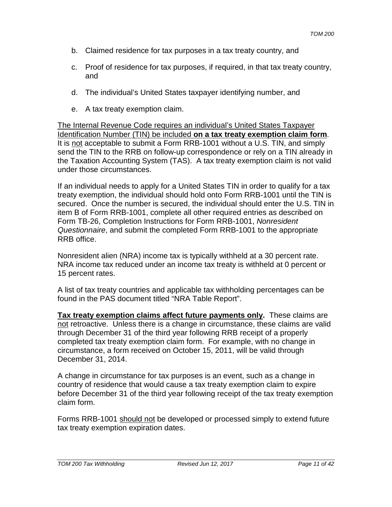- b. Claimed residence for tax purposes in a tax treaty country, and
- c. Proof of residence for tax purposes, if required, in that tax treaty country, and
- d. The individual's United States taxpayer identifying number, and
- e. A tax treaty exemption claim.

The Internal Revenue Code requires an individual's United States Taxpayer Identification Number (TIN) be included **on a tax treaty exemption claim form**. It is not acceptable to submit a Form RRB-1001 without a U.S. TIN, and simply send the TIN to the RRB on follow-up correspondence or rely on a TIN already in the Taxation Accounting System (TAS). A tax treaty exemption claim is not valid under those circumstances.

If an individual needs to apply for a United States TIN in order to qualify for a tax treaty exemption, the individual should hold onto Form RRB-1001 until the TIN is secured. Once the number is secured, the individual should enter the U.S. TIN in item B of Form RRB-1001, complete all other required entries as described on Form TB-26, Completion Instructions for Form RRB-1001, *Nonresident Questionnaire*, and submit the completed Form RRB-1001 to the appropriate RRB office.

Nonresident alien (NRA) income tax is typically withheld at a 30 percent rate. NRA income tax reduced under an income tax treaty is withheld at 0 percent or 15 percent rates.

A list of tax treaty countries and applicable tax withholding percentages can be found in the PAS document titled "NRA Table Report".

**Tax treaty exemption claims affect future payments only.** These claims are not retroactive. Unless there is a change in circumstance, these claims are valid through December 31 of the third year following RRB receipt of a properly completed tax treaty exemption claim form. For example, with no change in circumstance, a form received on October 15, 2011, will be valid through December 31, 2014.

A change in circumstance for tax purposes is an event, such as a change in country of residence that would cause a tax treaty exemption claim to expire before December 31 of the third year following receipt of the tax treaty exemption claim form.

Forms RRB-1001 should not be developed or processed simply to extend future tax treaty exemption expiration dates.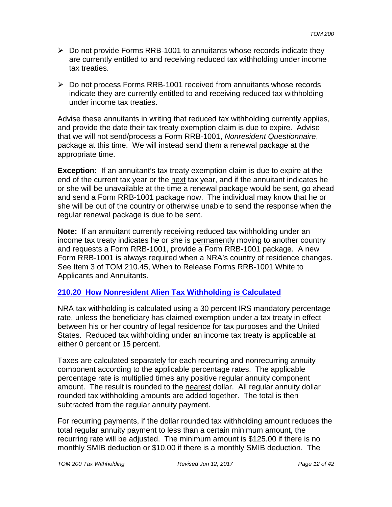- $\triangleright$  Do not provide Forms RRB-1001 to annuitants whose records indicate they are currently entitled to and receiving reduced tax withholding under income tax treaties.
- Do not process Forms RRB-1001 received from annuitants whose records indicate they are currently entitled to and receiving reduced tax withholding under income tax treaties.

Advise these annuitants in writing that reduced tax withholding currently applies, and provide the date their tax treaty exemption claim is due to expire. Advise that we will not send/process a Form RRB-1001, *Nonresident Questionnaire*, package at this time. We will instead send them a renewal package at the appropriate time.

**Exception:** If an annuitant's tax treaty exemption claim is due to expire at the end of the current tax year or the next tax year, and if the annuitant indicates he or she will be unavailable at the time a renewal package would be sent, go ahead and send a Form RRB-1001 package now. The individual may know that he or she will be out of the country or otherwise unable to send the response when the regular renewal package is due to be sent.

**Note:** If an annuitant currently receiving reduced tax withholding under an income tax treaty indicates he or she is permanently moving to another country and requests a Form RRB-1001, provide a Form RRB-1001 package. A new Form RRB-1001 is always required when a NRA's country of residence changes. See Item 3 of TOM 210.45, When to Release Forms RRB-1001 White to Applicants and Annuitants.

# **210.20 How Nonresident Alien Tax Withholding is Calculated**

NRA tax withholding is calculated using a 30 percent IRS mandatory percentage rate, unless the beneficiary has claimed exemption under a tax treaty in effect between his or her country of legal residence for tax purposes and the United States. Reduced tax withholding under an income tax treaty is applicable at either 0 percent or 15 percent.

Taxes are calculated separately for each recurring and nonrecurring annuity component according to the applicable percentage rates. The applicable percentage rate is multiplied times any positive regular annuity component amount. The result is rounded to the nearest dollar. All regular annuity dollar rounded tax withholding amounts are added together. The total is then subtracted from the regular annuity payment.

For recurring payments, if the dollar rounded tax withholding amount reduces the total regular annuity payment to less than a certain minimum amount, the recurring rate will be adjusted. The minimum amount is \$125.00 if there is no monthly SMIB deduction or \$10.00 if there is a monthly SMIB deduction. The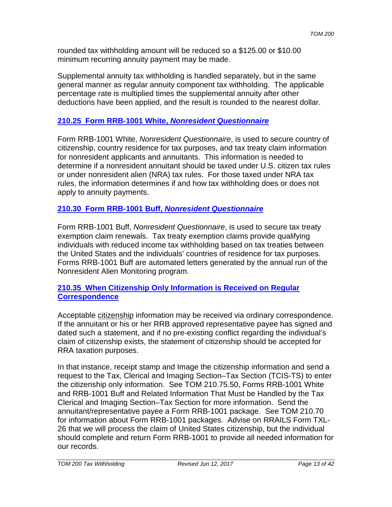rounded tax withholding amount will be reduced so a \$125.00 or \$10.00 minimum recurring annuity payment may be made.

Supplemental annuity tax withholding is handled separately, but in the same general manner as regular annuity component tax withholding. The applicable percentage rate is multiplied times the supplemental annuity after other deductions have been applied, and the result is rounded to the nearest dollar.

# **210.25 Form RRB-1001 White,** *Nonresident Questionnaire*

Form RRB-1001 White, *Nonresident Questionnaire*, is used to secure country of citizenship, country residence for tax purposes, and tax treaty claim information for nonresident applicants and annuitants. This information is needed to determine if a nonresident annuitant should be taxed under U.S. citizen tax rules or under nonresident alien (NRA) tax rules. For those taxed under NRA tax rules, the information determines if and how tax withholding does or does not apply to annuity payments.

# **210.30 Form RRB-1001 Buff,** *Nonresident Questionnaire*

Form RRB-1001 Buff, *Nonresident Questionnaire*, is used to secure tax treaty exemption claim renewals. Tax treaty exemption claims provide qualifying individuals with reduced income tax withholding based on tax treaties between the United States and the individuals' countries of residence for tax purposes. Forms RRB-1001 Buff are automated letters generated by the annual run of the Nonresident Alien Monitoring program.

## **210.35 When Citizenship Only Information is Received on Regular Correspondence**

Acceptable citizenship information may be received via ordinary correspondence. If the annuitant or his or her RRB approved representative payee has signed and dated such a statement, and if no pre-existing conflict regarding the individual's claim of citizenship exists, the statement of citizenship should be accepted for RRA taxation purposes.

In that instance, receipt stamp and Image the citizenship information and send a request to the Tax, Clerical and Imaging Section–Tax Section (TCIS-TS) to enter the citizenship only information. See TOM 210.75.50, Forms RRB-1001 White and RRB-1001 Buff and Related Information That Must be Handled by the Tax Clerical and Imaging Section–Tax Section for more information. Send the annuitant/representative payee a Form RRB-1001 package. See TOM 210.70 for information about Form RRB-1001 packages. Advise on RRAILS Form TXL-26 that we will process the claim of United States citizenship, but the individual should complete and return Form RRB-1001 to provide all needed information for our records.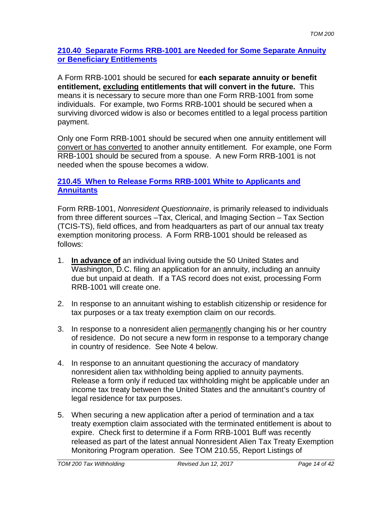### **210.40 Separate Forms RRB-1001 are Needed for Some Separate Annuity or Beneficiary Entitlements**

A Form RRB-1001 should be secured for **each separate annuity or benefit entitlement, excluding entitlements that will convert in the future.** This means it is necessary to secure more than one Form RRB-1001 from some individuals. For example, two Forms RRB-1001 should be secured when a surviving divorced widow is also or becomes entitled to a legal process partition payment.

Only one Form RRB-1001 should be secured when one annuity entitlement will convert or has converted to another annuity entitlement. For example, one Form RRB-1001 should be secured from a spouse. A new Form RRB-1001 is not needed when the spouse becomes a widow.

## **210.45 When to Release Forms RRB-1001 White to Applicants and Annuitants**

Form RRB-1001, *Nonresident Questionnaire*, is primarily released to individuals from three different sources –Tax, Clerical, and Imaging Section – Tax Section (TCIS-TS), field offices, and from headquarters as part of our annual tax treaty exemption monitoring process. A Form RRB-1001 should be released as follows:

- 1. **In advance of** an individual living outside the 50 United States and Washington, D.C. filing an application for an annuity, including an annuity due but unpaid at death. If a TAS record does not exist, processing Form RRB-1001 will create one.
- 2. In response to an annuitant wishing to establish citizenship or residence for tax purposes or a tax treaty exemption claim on our records.
- 3. In response to a nonresident alien permanently changing his or her country of residence. Do not secure a new form in response to a temporary change in country of residence. See Note 4 below.
- 4. In response to an annuitant questioning the accuracy of mandatory nonresident alien tax withholding being applied to annuity payments. Release a form only if reduced tax withholding might be applicable under an income tax treaty between the United States and the annuitant's country of legal residence for tax purposes.
- 5. When securing a new application after a period of termination and a tax treaty exemption claim associated with the terminated entitlement is about to expire. Check first to determine if a Form RRB-1001 Buff was recently released as part of the latest annual Nonresident Alien Tax Treaty Exemption Monitoring Program operation. See TOM 210.55, Report Listings of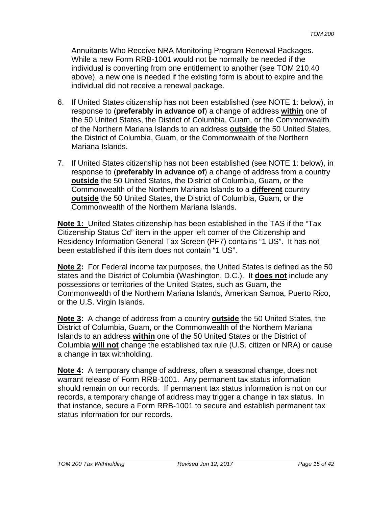Annuitants Who Receive NRA Monitoring Program Renewal Packages. While a new Form RRB-1001 would not be normally be needed if the individual is converting from one entitlement to another (see TOM 210.40 above), a new one is needed if the existing form is about to expire and the individual did not receive a renewal package.

- 6. If United States citizenship has not been established (see NOTE 1: below), in response to (**preferably in advance of**) a change of address **within** one of the 50 United States, the District of Columbia, Guam, or the Commonwealth of the Northern Mariana Islands to an address **outside** the 50 United States, the District of Columbia, Guam, or the Commonwealth of the Northern Mariana Islands.
- 7. If United States citizenship has not been established (see NOTE 1: below), in response to (**preferably in advance of**) a change of address from a country **outside** the 50 United States, the District of Columbia, Guam, or the Commonwealth of the Northern Mariana Islands to a **different** country **outside** the 50 United States, the District of Columbia, Guam, or the Commonwealth of the Northern Mariana Islands.

**Note 1:** United States citizenship has been established in the TAS if the "Tax Citizenship Status Cd" item in the upper left corner of the Citizenship and Residency Information General Tax Screen (PF7) contains "1 US". It has not been established if this item does not contain "1 US".

**Note 2:** For Federal income tax purposes, the United States is defined as the 50 states and the District of Columbia (Washington, D.C.). It **does not** include any possessions or territories of the United States, such as Guam, the Commonwealth of the Northern Mariana Islands, American Samoa, Puerto Rico, or the U.S. Virgin Islands.

**Note 3:** A change of address from a country **outside** the 50 United States, the District of Columbia, Guam, or the Commonwealth of the Northern Mariana Islands to an address **within** one of the 50 United States or the District of Columbia **will not** change the established tax rule (U.S. citizen or NRA) or cause a change in tax withholding.

**Note 4:** A temporary change of address, often a seasonal change, does not warrant release of Form RRB-1001. Any permanent tax status information should remain on our records. If permanent tax status information is not on our records, a temporary change of address may trigger a change in tax status. In that instance, secure a Form RRB-1001 to secure and establish permanent tax status information for our records.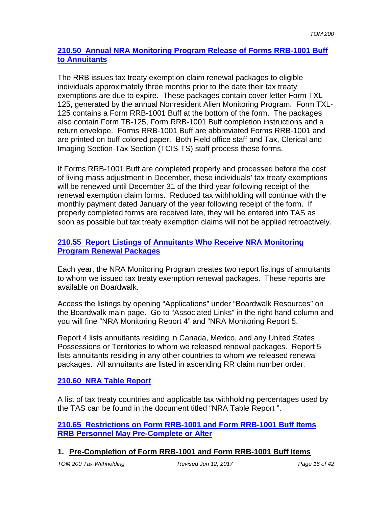## **210.50 Annual NRA Monitoring Program Release of Forms RRB-1001 Buff to Annuitants**

The RRB issues tax treaty exemption claim renewal packages to eligible individuals approximately three months prior to the date their tax treaty exemptions are due to expire. These packages contain cover letter Form TXL-125, generated by the annual Nonresident Alien Monitoring Program. Form TXL-125 contains a Form RRB-1001 Buff at the bottom of the form. The packages also contain Form TB-125, Form RRB-1001 Buff completion instructions and a return envelope. Forms RRB-1001 Buff are abbreviated Forms RRB-1001 and are printed on buff colored paper. Both Field office staff and Tax, Clerical and Imaging Section-Tax Section (TCIS-TS) staff process these forms.

If Forms RRB-1001 Buff are completed properly and processed before the cost of living mass adjustment in December, these individuals' tax treaty exemptions will be renewed until December 31 of the third year following receipt of the renewal exemption claim forms. Reduced tax withholding will continue with the monthly payment dated January of the year following receipt of the form. If properly completed forms are received late, they will be entered into TAS as soon as possible but tax treaty exemption claims will not be applied retroactively.

### **210.55 Report Listings of Annuitants Who Receive NRA Monitoring Program Renewal Packages**

Each year, the NRA Monitoring Program creates two report listings of annuitants to whom we issued tax treaty exemption renewal packages. These reports are available on Boardwalk.

Access the listings by opening "Applications" under "Boardwalk Resources" on the Boardwalk main page. Go to "Associated Links" in the right hand column and you will fine "NRA Monitoring Report 4" and "NRA Monitoring Report 5.

Report 4 lists annuitants residing in Canada, Mexico, and any United States Possessions or Territories to whom we released renewal packages. Report 5 lists annuitants residing in any other countries to whom we released renewal packages. All annuitants are listed in ascending RR claim number order.

## **210.60 NRA Table Report**

A list of tax treaty countries and applicable tax withholding percentages used by the TAS can be found in the document titled "NRA Table Report ".

**210.65 Restrictions on Form RRB-1001 and Form RRB-1001 Buff Items RRB Personnel May Pre-Complete or Alter**

# **1. Pre-Completion of Form RRB-1001 and Form RRB-1001 Buff Items**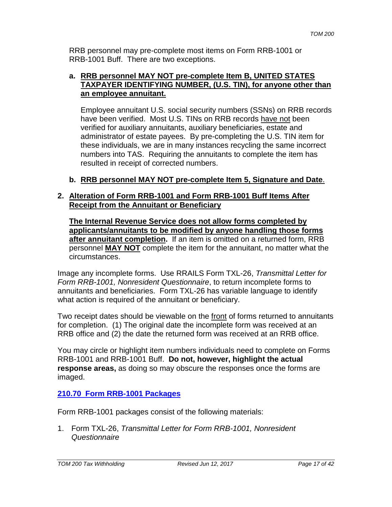RRB personnel may pre-complete most items on Form RRB-1001 or RRB-1001 Buff. There are two exceptions.

#### **a. RRB personnel MAY NOT pre-complete Item B, UNITED STATES TAXPAYER IDENTIFYING NUMBER, (U.S. TIN), for anyone other than an employee annuitant.**

Employee annuitant U.S. social security numbers (SSNs) on RRB records have been verified. Most U.S. TINs on RRB records have not been verified for auxiliary annuitants, auxiliary beneficiaries, estate and administrator of estate payees. By pre-completing the U.S. TIN item for these individuals, we are in many instances recycling the same incorrect numbers into TAS. Requiring the annuitants to complete the item has resulted in receipt of corrected numbers.

## **b. RRB personnel MAY NOT pre-complete Item 5, Signature and Date**.

#### **2. Alteration of Form RRB-1001 and Form RRB-1001 Buff Items After Receipt from the Annuitant or Beneficiary**

**The Internal Revenue Service does not allow forms completed by applicants/annuitants to be modified by anyone handling those forms after annuitant completion.** If an item is omitted on a returned form, RRB personnel **MAY NOT** complete the item for the annuitant, no matter what the circumstances.

Image any incomplete forms. Use RRAILS Form TXL-26, *Transmittal Letter for Form RRB-1001, Nonresident Questionnaire*, to return incomplete forms to annuitants and beneficiaries. Form TXL-26 has variable language to identify what action is required of the annuitant or beneficiary.

Two receipt dates should be viewable on the front of forms returned to annuitants for completion. (1) The original date the incomplete form was received at an RRB office and (2) the date the returned form was received at an RRB office.

You may circle or highlight item numbers individuals need to complete on Forms RRB-1001 and RRB-1001 Buff. **Do not, however, highlight the actual response areas,** as doing so may obscure the responses once the forms are imaged.

# **210.70 Form RRB-1001 Packages**

Form RRB-1001 packages consist of the following materials:

1. Form TXL-26, *Transmittal Letter for Form RRB-1001, Nonresident Questionnaire*

*TOM 200 Tax Withholding Revised Jun 12, 2017 Page 17 of 42*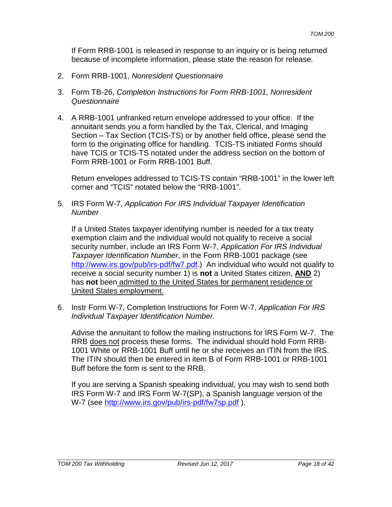If Form RRB-1001 is released in response to an inquiry or is being returned because of incomplete information, please state the reason for release.

- 2. Form RRB-1001, *Nonresident Questionnaire*
- 3. Form TB-26, *Completion Instructions for Form RRB-1001, Nonresident Questionnaire*
- 4. A RRB-1001 unfranked return envelope addressed to your office. If the annuitant sends you a form handled by the Tax, Clerical, and Imaging Section – Tax Section (TCIS-TS) or by another field office, please send the form to the originating office for handling. TCIS-TS initiated Forms should have TCIS or TCIS-TS notated under the address section on the bottom of Form RRB-1001 or Form RRB-1001 Buff.

Return envelopes addressed to TCIS-TS contain "RRB-1001" in the lower left corner and "TCIS" notated below the "RRB-1001".

5. IRS Form W-7, *Application For IRS Individual Taxpayer Identification Number*

If a United States taxpayer identifying number is needed for a tax treaty exemption claim and the individual would not qualify to receive a social security number, include an IRS Form W-7, *Application For IRS Individual Taxpayer Identification Number*, in the Form RRB-1001 package (see http://www.irs.gov/pub/irs-pdf/fw7.pdf.) An individual who would not qualify to receive a social security number 1) is **not** a United States citizen, **AND** 2) has **not** been admitted to the United States for permanent residence or United States employment.

6. Instr Form W-7, Completion Instructions for Form W-7, *Application For IRS Individual Taxpayer Identification Number.*

Advise the annuitant to follow the mailing instructions for IRS Form W-7. The RRB does not process these forms. The individual should hold Form RRB-1001 White or RRB-1001 Buff until he or she receives an ITIN from the IRS. The ITIN should then be entered in item B of Form RRB-1001 or RRB-1001 Buff before the form is sent to the RRB.

If you are serving a Spanish speaking individual, you may wish to send both IRS Form W-7 and IRS Form W-7(SP), a Spanish language version of the W-7 (see http://www.irs.gov/pub/irs-pdf/fw7sp.pdf ).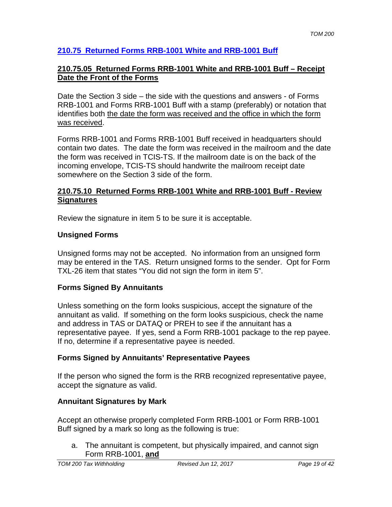# **210.75 Returned Forms RRB-1001 White and RRB-1001 Buff**

### **210.75.05 Returned Forms RRB-1001 White and RRB-1001 Buff – Receipt Date the Front of the Forms**

Date the Section 3 side – the side with the questions and answers - of Forms RRB-1001 and Forms RRB-1001 Buff with a stamp (preferably) or notation that identifies both the date the form was received and the office in which the form was received.

Forms RRB-1001 and Forms RRB-1001 Buff received in headquarters should contain two dates. The date the form was received in the mailroom and the date the form was received in TCIS-TS. If the mailroom date is on the back of the incoming envelope, TCIS-TS should handwrite the mailroom receipt date somewhere on the Section 3 side of the form.

#### **210.75.10 Returned Forms RRB-1001 White and RRB-1001 Buff - Review Signatures**

Review the signature in item 5 to be sure it is acceptable.

## **Unsigned Forms**

Unsigned forms may not be accepted. No information from an unsigned form may be entered in the TAS. Return unsigned forms to the sender. Opt for Form TXL-26 item that states "You did not sign the form in item 5".

## **Forms Signed By Annuitants**

Unless something on the form looks suspicious, accept the signature of the annuitant as valid. If something on the form looks suspicious, check the name and address in TAS or DATAQ or PREH to see if the annuitant has a representative payee. If yes, send a Form RRB-1001 package to the rep payee. If no, determine if a representative payee is needed.

## **Forms Signed by Annuitants' Representative Payees**

If the person who signed the form is the RRB recognized representative payee, accept the signature as valid.

## **Annuitant Signatures by Mark**

Accept an otherwise properly completed Form RRB-1001 or Form RRB-1001 Buff signed by a mark so long as the following is true:

a. The annuitant is competent, but physically impaired, and cannot sign Form RRB-1001, **and**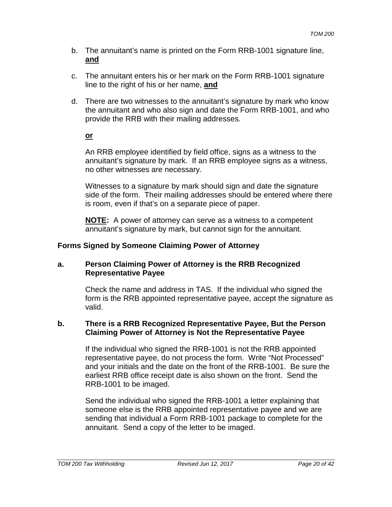- b. The annuitant's name is printed on the Form RRB-1001 signature line, **and**
- c. The annuitant enters his or her mark on the Form RRB-1001 signature line to the right of his or her name, **and**
- d. There are two witnesses to the annuitant's signature by mark who know the annuitant and who also sign and date the Form RRB-1001, and who provide the RRB with their mailing addresses.

## **or**

An RRB employee identified by field office, signs as a witness to the annuitant's signature by mark. If an RRB employee signs as a witness, no other witnesses are necessary.

Witnesses to a signature by mark should sign and date the signature side of the form. Their mailing addresses should be entered where there is room, even if that's on a separate piece of paper.

**NOTE:** A power of attorney can serve as a witness to a competent annuitant's signature by mark, but cannot sign for the annuitant.

# **Forms Signed by Someone Claiming Power of Attorney**

## **a. Person Claiming Power of Attorney is the RRB Recognized Representative Payee**

Check the name and address in TAS. If the individual who signed the form is the RRB appointed representative payee, accept the signature as valid.

#### **b. There is a RRB Recognized Representative Payee, But the Person Claiming Power of Attorney is Not the Representative Payee**

If the individual who signed the RRB-1001 is not the RRB appointed representative payee, do not process the form. Write "Not Processed" and your initials and the date on the front of the RRB-1001. Be sure the earliest RRB office receipt date is also shown on the front. Send the RRB-1001 to be imaged.

Send the individual who signed the RRB-1001 a letter explaining that someone else is the RRB appointed representative payee and we are sending that individual a Form RRB-1001 package to complete for the annuitant. Send a copy of the letter to be imaged.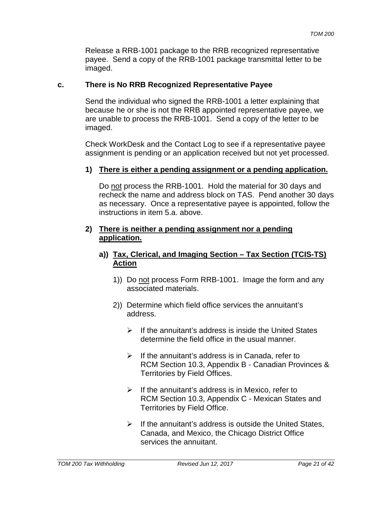Release a RRB-1001 package to the RRB recognized representative payee. Send a copy of the RRB-1001 package transmittal letter to be imaged.

## **c. There is No RRB Recognized Representative Payee**

Send the individual who signed the RRB-1001 a letter explaining that because he or she is not the RRB appointed representative payee, we are unable to process the RRB-1001. Send a copy of the letter to be imaged.

Check WorkDesk and the Contact Log to see if a representative payee assignment is pending or an application received but not yet processed.

#### **1) There is either a pending assignment or a pending application.**

Do not process the RRB-1001. Hold the material for 30 days and recheck the name and address block on TAS. Pend another 30 days as necessary. Once a representative payee is appointed, follow the instructions in item 5.a. above.

#### **2) There is neither a pending assignment nor a pending application.**

### **a)) Tax, Clerical, and Imaging Section – Tax Section (TCIS-TS) Action**

- 1)) Do not process Form RRB-1001. Image the form and any associated materials.
- 2)) Determine which field office services the annuitant's address.
	- $\triangleright$  If the annuitant's address is inside the United States determine the field office in the usual manner.
	- $\triangleright$  If the annuitant's address is in Canada, refer to RCM Section 10.3, Appendix B - Canadian Provinces & Territories by Field Offices.
	- $\triangleright$  If the annuitant's address is in Mexico, refer to RCM Section 10.3, Appendix C - Mexican States and Territories by Field Office.
	- $\triangleright$  If the annuitant's address is outside the United States, Canada, and Mexico, the Chicago District Office services the annuitant.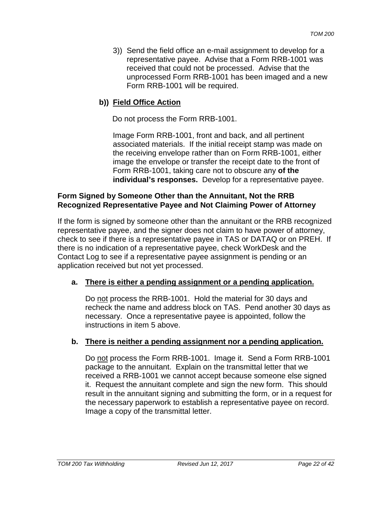3)) Send the field office an e-mail assignment to develop for a representative payee. Advise that a Form RRB-1001 was received that could not be processed. Advise that the unprocessed Form RRB-1001 has been imaged and a new Form RRB-1001 will be required.

# **b)) Field Office Action**

Do not process the Form RRB-1001.

Image Form RRB-1001, front and back, and all pertinent associated materials. If the initial receipt stamp was made on the receiving envelope rather than on Form RRB-1001, either image the envelope or transfer the receipt date to the front of Form RRB-1001, taking care not to obscure any **of the individual's responses.** Develop for a representative payee.

#### **Form Signed by Someone Other than the Annuitant, Not the RRB Recognized Representative Payee and Not Claiming Power of Attorney**

If the form is signed by someone other than the annuitant or the RRB recognized representative payee, and the signer does not claim to have power of attorney, check to see if there is a representative payee in TAS or DATAQ or on PREH. If there is no indication of a representative payee, check WorkDesk and the Contact Log to see if a representative payee assignment is pending or an application received but not yet processed.

## **a. There is either a pending assignment or a pending application.**

Do not process the RRB-1001. Hold the material for 30 days and recheck the name and address block on TAS. Pend another 30 days as necessary. Once a representative payee is appointed, follow the instructions in item 5 above.

## **b. There is neither a pending assignment nor a pending application.**

Do not process the Form RRB-1001. Image it. Send a Form RRB-1001 package to the annuitant. Explain on the transmittal letter that we received a RRB-1001 we cannot accept because someone else signed it. Request the annuitant complete and sign the new form. This should result in the annuitant signing and submitting the form, or in a request for the necessary paperwork to establish a representative payee on record. Image a copy of the transmittal letter.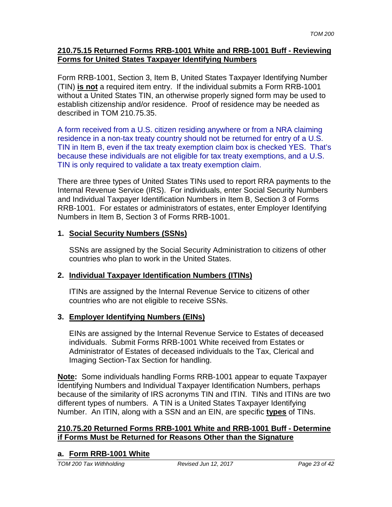#### **210.75.15 Returned Forms RRB-1001 White and RRB-1001 Buff - Reviewing Forms for United States Taxpayer Identifying Numbers**

Form RRB-1001, Section 3, Item B, United States Taxpayer Identifying Number (TIN) **is not** a required item entry. If the individual submits a Form RRB-1001 without a United States TIN, an otherwise properly signed form may be used to establish citizenship and/or residence. Proof of residence may be needed as described in TOM 210.75.35.

A form received from a U.S. citizen residing anywhere or from a NRA claiming residence in a non-tax treaty country should not be returned for entry of a U.S. TIN in Item B, even if the tax treaty exemption claim box is checked YES. That's because these individuals are not eligible for tax treaty exemptions, and a U.S. TIN is only required to validate a tax treaty exemption claim.

There are three types of United States TINs used to report RRA payments to the Internal Revenue Service (IRS). For individuals, enter Social Security Numbers and Individual Taxpayer Identification Numbers in Item B, Section 3 of Forms RRB-1001. For estates or administrators of estates, enter Employer Identifying Numbers in Item B, Section 3 of Forms RRB-1001.

# **1. Social Security Numbers (SSNs)**

SSNs are assigned by the Social Security Administration to citizens of other countries who plan to work in the United States.

# **2. Individual Taxpayer Identification Numbers (ITINs)**

ITINs are assigned by the Internal Revenue Service to citizens of other countries who are not eligible to receive SSNs.

# **3. Employer Identifying Numbers (EINs)**

EINs are assigned by the Internal Revenue Service to Estates of deceased individuals. Submit Forms RRB-1001 White received from Estates or Administrator of Estates of deceased individuals to the Tax, Clerical and Imaging Section-Tax Section for handling.

**Note:** Some individuals handling Forms RRB-1001 appear to equate Taxpayer Identifying Numbers and Individual Taxpayer Identification Numbers, perhaps because of the similarity of IRS acronyms TIN and ITIN. TINs and ITINs are two different types of numbers. A TIN is a United States Taxpayer Identifying Number. An ITIN, along with a SSN and an EIN, are specific **types** of TINs.

## **210.75.20 Returned Forms RRB-1001 White and RRB-1001 Buff - Determine if Forms Must be Returned for Reasons Other than the Signature**

# **a. Form RRB-1001 White**

*TOM 200 Tax Withholding Revised Jun 12, 2017 Page 23 of 42*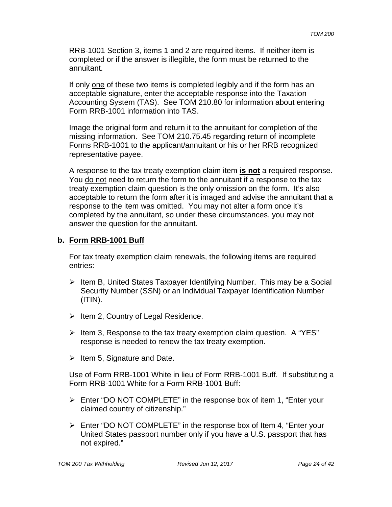RRB-1001 Section 3, items 1 and 2 are required items. If neither item is completed or if the answer is illegible, the form must be returned to the annuitant.

If only one of these two items is completed legibly and if the form has an acceptable signature, enter the acceptable response into the Taxation Accounting System (TAS). See TOM 210.80 for information about entering Form RRB-1001 information into TAS.

Image the original form and return it to the annuitant for completion of the missing information. See TOM 210.75.45 regarding return of incomplete Forms RRB-1001 to the applicant/annuitant or his or her RRB recognized representative payee.

A response to the tax treaty exemption claim item **is not** a required response. You do not need to return the form to the annuitant if a response to the tax treaty exemption claim question is the only omission on the form. It's also acceptable to return the form after it is imaged and advise the annuitant that a response to the item was omitted. You may not alter a form once it's completed by the annuitant, so under these circumstances, you may not answer the question for the annuitant.

## **b. Form RRB-1001 Buff**

For tax treaty exemption claim renewals, the following items are required entries:

- $\triangleright$  Item B, United States Taxpayer Identifying Number. This may be a Social Security Number (SSN) or an Individual Taxpayer Identification Number  $(ITIN).$
- $\triangleright$  Item 2, Country of Legal Residence.
- $\triangleright$  Item 3, Response to the tax treaty exemption claim question. A "YES" response is needed to renew the tax treaty exemption.
- $\triangleright$  Item 5, Signature and Date.

Use of Form RRB-1001 White in lieu of Form RRB-1001 Buff. If substituting a Form RRB-1001 White for a Form RRB-1001 Buff:

- Enter "DO NOT COMPLETE" in the response box of item 1, "Enter your claimed country of citizenship."
- Enter "DO NOT COMPLETE" in the response box of Item 4, "Enter your United States passport number only if you have a U.S. passport that has not expired."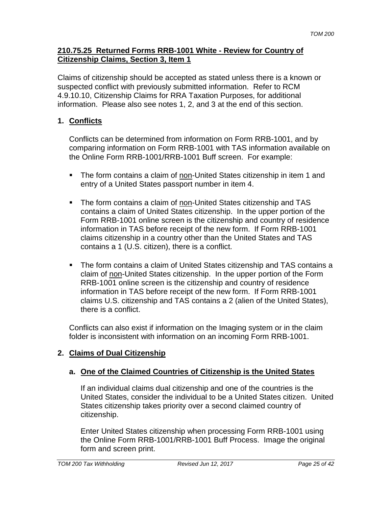#### **210.75.25 Returned Forms RRB-1001 White - Review for Country of Citizenship Claims, Section 3, Item 1**

Claims of citizenship should be accepted as stated unless there is a known or suspected conflict with previously submitted information. Refer to RCM 4.9.10.10, Citizenship Claims for RRA Taxation Purposes, for additional information. Please also see notes 1, 2, and 3 at the end of this section.

## **1. Conflicts**

Conflicts can be determined from information on Form RRB-1001, and by comparing information on Form RRB-1001 with TAS information available on the Online Form RRB-1001/RRB-1001 Buff screen. For example:

- The form contains a claim of non-United States citizenship in item 1 and entry of a United States passport number in item 4.
- The form contains a claim of non-United States citizenship and TAS contains a claim of United States citizenship. In the upper portion of the Form RRB-1001 online screen is the citizenship and country of residence information in TAS before receipt of the new form. If Form RRB-1001 claims citizenship in a country other than the United States and TAS contains a 1 (U.S. citizen), there is a conflict.
- The form contains a claim of United States citizenship and TAS contains a claim of non-United States citizenship. In the upper portion of the Form RRB-1001 online screen is the citizenship and country of residence information in TAS before receipt of the new form. If Form RRB-1001 claims U.S. citizenship and TAS contains a 2 (alien of the United States), there is a conflict.

Conflicts can also exist if information on the Imaging system or in the claim folder is inconsistent with information on an incoming Form RRB-1001.

# **2. Claims of Dual Citizenship**

## **a. One of the Claimed Countries of Citizenship is the United States**

If an individual claims dual citizenship and one of the countries is the United States, consider the individual to be a United States citizen. United States citizenship takes priority over a second claimed country of citizenship.

Enter United States citizenship when processing Form RRB-1001 using the Online Form RRB-1001/RRB-1001 Buff Process. Image the original form and screen print.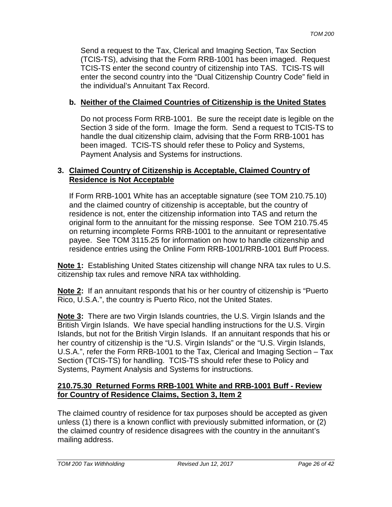Send a request to the Tax, Clerical and Imaging Section, Tax Section (TCIS-TS), advising that the Form RRB-1001 has been imaged. Request TCIS-TS enter the second country of citizenship into TAS. TCIS-TS will enter the second country into the "Dual Citizenship Country Code" field in the individual's Annuitant Tax Record.

## **b. Neither of the Claimed Countries of Citizenship is the United States**

Do not process Form RRB-1001. Be sure the receipt date is legible on the Section 3 side of the form. Image the form. Send a request to TCIS-TS to handle the dual citizenship claim, advising that the Form RRB-1001 has been imaged. TCIS-TS should refer these to Policy and Systems, Payment Analysis and Systems for instructions.

## **3. Claimed Country of Citizenship is Acceptable, Claimed Country of Residence is Not Acceptable**

If Form RRB-1001 White has an acceptable signature (see TOM 210.75.10) and the claimed country of citizenship is acceptable, but the country of residence is not, enter the citizenship information into TAS and return the original form to the annuitant for the missing response. See TOM 210.75.45 on returning incomplete Forms RRB-1001 to the annuitant or representative payee. See TOM 3115.25 for information on how to handle citizenship and residence entries using the Online Form RRB-1001/RRB-1001 Buff Process.

**Note 1:** Establishing United States citizenship will change NRA tax rules to U.S. citizenship tax rules and remove NRA tax withholding.

**Note 2:** If an annuitant responds that his or her country of citizenship is "Puerto Rico, U.S.A.", the country is Puerto Rico, not the United States.

**Note 3:** There are two Virgin Islands countries, the U.S. Virgin Islands and the British Virgin Islands. We have special handling instructions for the U.S. Virgin Islands, but not for the British Virgin Islands. If an annuitant responds that his or her country of citizenship is the "U.S. Virgin Islands" or the "U.S. Virgin Islands, U.S.A.", refer the Form RRB-1001 to the Tax, Clerical and Imaging Section – Tax Section (TCIS-TS) for handling. TCIS-TS should refer these to Policy and Systems, Payment Analysis and Systems for instructions.

## **210.75.30 Returned Forms RRB-1001 White and RRB-1001 Buff - Review for Country of Residence Claims, Section 3, Item 2**

The claimed country of residence for tax purposes should be accepted as given unless (1) there is a known conflict with previously submitted information, or (2) the claimed country of residence disagrees with the country in the annuitant's mailing address.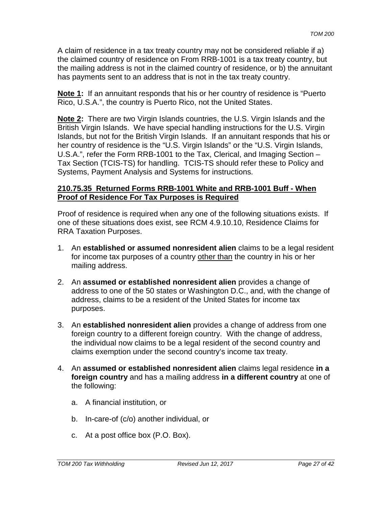A claim of residence in a tax treaty country may not be considered reliable if a) the claimed country of residence on From RRB-1001 is a tax treaty country, but the mailing address is not in the claimed country of residence, or b) the annuitant has payments sent to an address that is not in the tax treaty country.

**Note 1:** If an annuitant responds that his or her country of residence is "Puerto Rico, U.S.A.", the country is Puerto Rico, not the United States.

**Note 2:** There are two Virgin Islands countries, the U.S. Virgin Islands and the British Virgin Islands. We have special handling instructions for the U.S. Virgin Islands, but not for the British Virgin Islands. If an annuitant responds that his or her country of residence is the "U.S. Virgin Islands" or the "U.S. Virgin Islands, U.S.A.", refer the Form RRB-1001 to the Tax, Clerical, and Imaging Section – Tax Section (TCIS-TS) for handling. TCIS-TS should refer these to Policy and Systems, Payment Analysis and Systems for instructions.

#### **210.75.35 Returned Forms RRB-1001 White and RRB-1001 Buff - When Proof of Residence For Tax Purposes is Required**

Proof of residence is required when any one of the following situations exists. If one of these situations does exist, see RCM 4.9.10.10, Residence Claims for RRA Taxation Purposes.

- 1. An **established or assumed nonresident alien** claims to be a legal resident for income tax purposes of a country other than the country in his or her mailing address.
- 2. An **assumed or established nonresident alien** provides a change of address to one of the 50 states or Washington D.C., and, with the change of address, claims to be a resident of the United States for income tax purposes.
- 3. An **established nonresident alien** provides a change of address from one foreign country to a different foreign country. With the change of address, the individual now claims to be a legal resident of the second country and claims exemption under the second country's income tax treaty.
- 4. An **assumed or established nonresident alien** claims legal residence **in a foreign country** and has a mailing address **in a different country** at one of the following:
	- a. A financial institution, or
	- b. In-care-of (c/o) another individual, or
	- c. At a post office box (P.O. Box).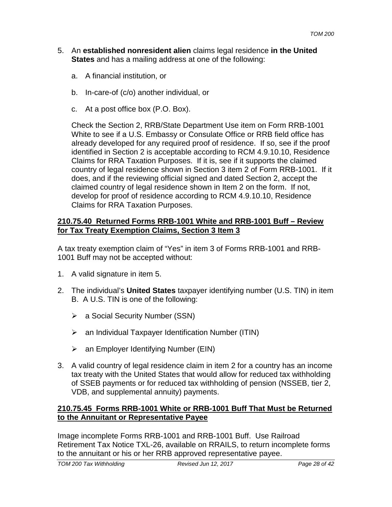- 5. An **established nonresident alien** claims legal residence **in the United States** and has a mailing address at one of the following:
	- a. A financial institution, or
	- b. In-care-of (c/o) another individual, or
	- c. At a post office box (P.O. Box).

Check the Section 2, RRB/State Department Use item on Form RRB-1001 White to see if a U.S. Embassy or Consulate Office or RRB field office has already developed for any required proof of residence. If so, see if the proof identified in Section 2 is acceptable according to RCM 4.9.10.10, Residence Claims for RRA Taxation Purposes. If it is, see if it supports the claimed country of legal residence shown in Section 3 item 2 of Form RRB-1001. If it does, and if the reviewing official signed and dated Section 2, accept the claimed country of legal residence shown in Item 2 on the form. If not, develop for proof of residence according to RCM 4.9.10.10, Residence Claims for RRA Taxation Purposes.

## **210.75.40 Returned Forms RRB-1001 White and RRB-1001 Buff – Review for Tax Treaty Exemption Claims, Section 3 Item 3**

A tax treaty exemption claim of "Yes" in item 3 of Forms RRB-1001 and RRB-1001 Buff may not be accepted without:

- 1. A valid signature in item 5.
- 2. The individual's **United States** taxpayer identifying number (U.S. TIN) in item B. A U.S. TIN is one of the following:
	- a Social Security Number (SSN)
	- $\triangleright$  an Individual Taxpayer Identification Number (ITIN)
	- $\triangleright$  an Employer Identifying Number (EIN)
- 3. A valid country of legal residence claim in item 2 for a country has an income tax treaty with the United States that would allow for reduced tax withholding of SSEB payments or for reduced tax withholding of pension (NSSEB, tier 2, VDB, and supplemental annuity) payments.

## **210.75.45 Forms RRB-1001 White or RRB-1001 Buff That Must be Returned to the Annuitant or Representative Payee**

Image incomplete Forms RRB-1001 and RRB-1001 Buff. Use Railroad Retirement Tax Notice TXL-26, available on RRAILS, to return incomplete forms to the annuitant or his or her RRB approved representative payee.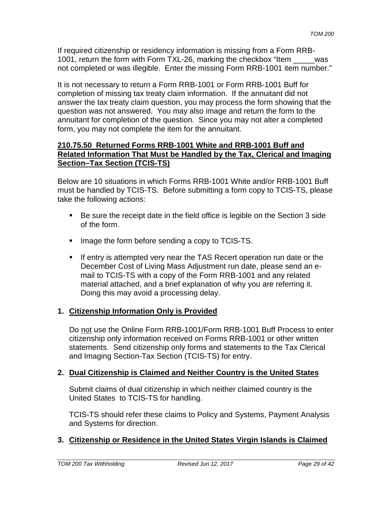If required citizenship or residency information is missing from a Form RRB-1001, return the form with Form TXL-26, marking the checkbox "Item \_\_\_\_\_was not completed or was illegible. Enter the missing Form RRB-1001 item number."

It is not necessary to return a Form RRB-1001 or Form RRB-1001 Buff for completion of missing tax treaty claim information. If the annuitant did not answer the tax treaty claim question, you may process the form showing that the question was not answered. You may also image and return the form to the annuitant for completion of the question. Since you may not alter a completed form, you may not complete the item for the annuitant.

## **210.75.50 Returned Forms RRB-1001 White and RRB-1001 Buff and Related Information That Must be Handled by the Tax, Clerical and Imaging Section–Tax Section (TCIS-TS)**

Below are 10 situations in which Forms RRB-1001 White and/or RRB-1001 Buff must be handled by TCIS-TS. Before submitting a form copy to TCIS-TS, please take the following actions:

- Be sure the receipt date in the field office is legible on the Section 3 side of the form.
- Image the form before sending a copy to TCIS-TS.
- **If entry is attempted very near the TAS Recert operation run date or the** December Cost of Living Mass Adjustment run date, please send an email to TCIS-TS with a copy of the Form RRB-1001 and any related material attached, and a brief explanation of why you are referring it. Doing this may avoid a processing delay.

# **1. Citizenship Information Only is Provided**

Do not use the Online Form RRB-1001/Form RRB-1001 Buff Process to enter citizenship only information received on Forms RRB-1001 or other written statements. Send citizenship only forms and statements to the Tax Clerical and Imaging Section-Tax Section (TCIS-TS) for entry.

# **2. Dual Citizenship is Claimed and Neither Country is the United States**

Submit claims of dual citizenship in which neither claimed country is the United States to TCIS-TS for handling.

TCIS-TS should refer these claims to Policy and Systems, Payment Analysis and Systems for direction.

# **3. Citizenship or Residence in the United States Virgin Islands is Claimed**

*TOM 200 Tax Withholding Revised Jun 12, 2017 Page 29 of 42*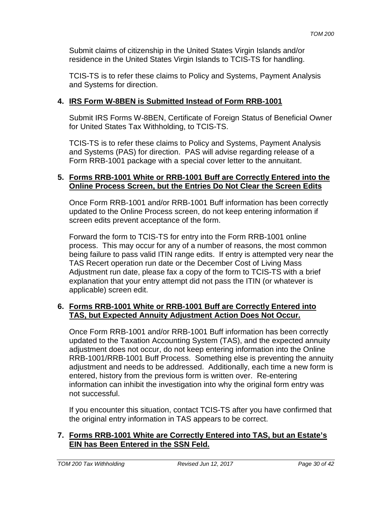Submit claims of citizenship in the United States Virgin Islands and/or residence in the United States Virgin Islands to TCIS-TS for handling.

TCIS-TS is to refer these claims to Policy and Systems, Payment Analysis and Systems for direction.

## **4. IRS Form W-8BEN is Submitted Instead of Form RRB-1001**

Submit IRS Forms W-8BEN, Certificate of Foreign Status of Beneficial Owner for United States Tax Withholding, to TCIS-TS.

TCIS-TS is to refer these claims to Policy and Systems, Payment Analysis and Systems (PAS) for direction. PAS will advise regarding release of a Form RRB-1001 package with a special cover letter to the annuitant.

#### **5. Forms RRB-1001 White or RRB-1001 Buff are Correctly Entered into the Online Process Screen, but the Entries Do Not Clear the Screen Edits**

Once Form RRB-1001 and/or RRB-1001 Buff information has been correctly updated to the Online Process screen, do not keep entering information if screen edits prevent acceptance of the form.

Forward the form to TCIS-TS for entry into the Form RRB-1001 online process. This may occur for any of a number of reasons, the most common being failure to pass valid ITIN range edits. If entry is attempted very near the TAS Recert operation run date or the December Cost of Living Mass Adjustment run date, please fax a copy of the form to TCIS-TS with a brief explanation that your entry attempt did not pass the ITIN (or whatever is applicable) screen edit.

#### **6. Forms RRB-1001 White or RRB-1001 Buff are Correctly Entered into TAS, but Expected Annuity Adjustment Action Does Not Occur.**

Once Form RRB-1001 and/or RRB-1001 Buff information has been correctly updated to the Taxation Accounting System (TAS), and the expected annuity adjustment does not occur, do not keep entering information into the Online RRB-1001/RRB-1001 Buff Process. Something else is preventing the annuity adjustment and needs to be addressed. Additionally, each time a new form is entered, history from the previous form is written over. Re-entering information can inhibit the investigation into why the original form entry was not successful.

If you encounter this situation, contact TCIS-TS after you have confirmed that the original entry information in TAS appears to be correct.

## **7. Forms RRB-1001 White are Correctly Entered into TAS, but an Estate's EIN has Been Entered in the SSN Feld.**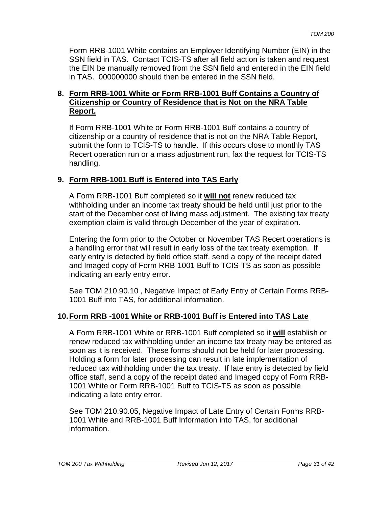Form RRB-1001 White contains an Employer Identifying Number (EIN) in the SSN field in TAS. Contact TCIS-TS after all field action is taken and request the EIN be manually removed from the SSN field and entered in the EIN field in TAS. 000000000 should then be entered in the SSN field.

### **8. Form RRB-1001 White or Form RRB-1001 Buff Contains a Country of Citizenship or Country of Residence that is Not on the NRA Table Report.**

If Form RRB-1001 White or Form RRB-1001 Buff contains a country of citizenship or a country of residence that is not on the NRA Table Report, submit the form to TCIS-TS to handle. If this occurs close to monthly TAS Recert operation run or a mass adjustment run, fax the request for TCIS-TS handling.

# **9. Form RRB-1001 Buff is Entered into TAS Early**

A Form RRB-1001 Buff completed so it **will not** renew reduced tax withholding under an income tax treaty should be held until just prior to the start of the December cost of living mass adjustment. The existing tax treaty exemption claim is valid through December of the year of expiration.

Entering the form prior to the October or November TAS Recert operations is a handling error that will result in early loss of the tax treaty exemption. If early entry is detected by field office staff, send a copy of the receipt dated and Imaged copy of Form RRB-1001 Buff to TCIS-TS as soon as possible indicating an early entry error.

See TOM 210.90.10 , Negative Impact of Early Entry of Certain Forms RRB-1001 Buff into TAS, for additional information.

# **10.Form RRB -1001 White or RRB-1001 Buff is Entered into TAS Late**

A Form RRB-1001 White or RRB-1001 Buff completed so it **will** establish or renew reduced tax withholding under an income tax treaty may be entered as soon as it is received. These forms should not be held for later processing. Holding a form for later processing can result in late implementation of reduced tax withholding under the tax treaty. If late entry is detected by field office staff, send a copy of the receipt dated and Imaged copy of Form RRB-1001 White or Form RRB-1001 Buff to TCIS-TS as soon as possible indicating a late entry error.

See TOM 210.90.05, Negative Impact of Late Entry of Certain Forms RRB-1001 White and RRB-1001 Buff Information into TAS, for additional information.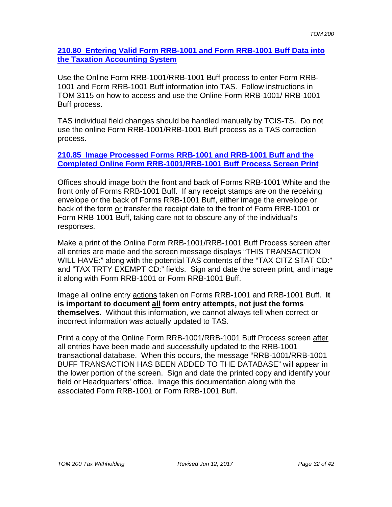#### **210.80 Entering Valid Form RRB-1001 and Form RRB-1001 Buff Data into the Taxation Accounting System**

Use the Online Form RRB-1001/RRB-1001 Buff process to enter Form RRB-1001 and Form RRB-1001 Buff information into TAS. Follow instructions in TOM 3115 on how to access and use the Online Form RRB-1001/ RRB-1001 Buff process.

TAS individual field changes should be handled manually by TCIS-TS. Do not use the online Form RRB-1001/RRB-1001 Buff process as a TAS correction process.

#### **210.85 Image Processed Forms RRB-1001 and RRB-1001 Buff and the Completed Online Form RRB-1001/RRB-1001 Buff Process Screen Print**

Offices should image both the front and back of Forms RRB-1001 White and the front only of Forms RRB-1001 Buff. If any receipt stamps are on the receiving envelope or the back of Forms RRB-1001 Buff, either image the envelope or back of the form or transfer the receipt date to the front of Form RRB-1001 or Form RRB-1001 Buff, taking care not to obscure any of the individual's responses.

Make a print of the Online Form RRB-1001/RRB-1001 Buff Process screen after all entries are made and the screen message displays "THIS TRANSACTION WILL HAVE:" along with the potential TAS contents of the "TAX CITZ STAT CD:" and "TAX TRTY EXEMPT CD:" fields. Sign and date the screen print, and image it along with Form RRB-1001 or Form RRB-1001 Buff.

Image all online entry actions taken on Forms RRB-1001 and RRB-1001 Buff. **It is important to document all form entry attempts, not just the forms themselves.** Without this information, we cannot always tell when correct or incorrect information was actually updated to TAS.

Print a copy of the Online Form RRB-1001/RRB-1001 Buff Process screen after all entries have been made and successfully updated to the RRB-1001 transactional database. When this occurs, the message "RRB-1001/RRB-1001 BUFF TRANSACTION HAS BEEN ADDED TO THE DATABASE" will appear in the lower portion of the screen. Sign and date the printed copy and identify your field or Headquarters' office. Image this documentation along with the associated Form RRB-1001 or Form RRB-1001 Buff.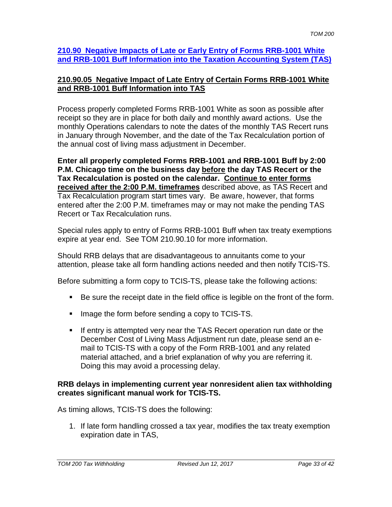#### **210.90 Negative Impacts of Late or Early Entry of Forms RRB-1001 White and RRB-1001 Buff Information into the Taxation Accounting System (TAS)**

## **210.90.05 Negative Impact of Late Entry of Certain Forms RRB-1001 White and RRB-1001 Buff Information into TAS**

Process properly completed Forms RRB-1001 White as soon as possible after receipt so they are in place for both daily and monthly award actions. Use the monthly Operations calendars to note the dates of the monthly TAS Recert runs in January through November, and the date of the Tax Recalculation portion of the annual cost of living mass adjustment in December.

**Enter all properly completed Forms RRB-1001 and RRB-1001 Buff by 2:00 P.M. Chicago time on the business day before the day TAS Recert or the Tax Recalculation is posted on the calendar. Continue to enter forms received after the 2:00 P.M. timeframes** described above, as TAS Recert and Tax Recalculation program start times vary. Be aware, however, that forms entered after the 2:00 P.M. timeframes may or may not make the pending TAS Recert or Tax Recalculation runs.

Special rules apply to entry of Forms RRB-1001 Buff when tax treaty exemptions expire at year end. See TOM 210.90.10 for more information.

Should RRB delays that are disadvantageous to annuitants come to your attention, please take all form handling actions needed and then notify TCIS-TS.

Before submitting a form copy to TCIS-TS, please take the following actions:

- Be sure the receipt date in the field office is legible on the front of the form.
- **IMage the form before sending a copy to TCIS-TS.**
- If entry is attempted very near the TAS Recert operation run date or the December Cost of Living Mass Adjustment run date, please send an email to TCIS-TS with a copy of the Form RRB-1001 and any related material attached, and a brief explanation of why you are referring it. Doing this may avoid a processing delay.

#### **RRB delays in implementing current year nonresident alien tax withholding creates significant manual work for TCIS-TS.**

As timing allows, TCIS-TS does the following:

1. If late form handling crossed a tax year, modifies the tax treaty exemption expiration date in TAS,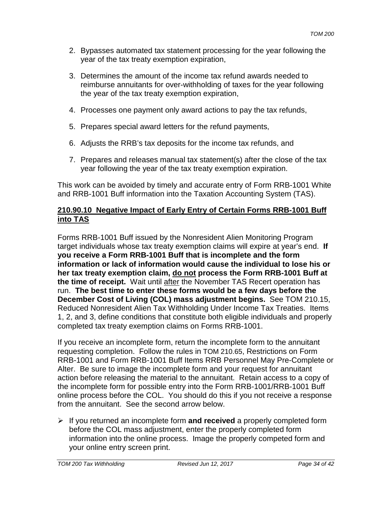- 2. Bypasses automated tax statement processing for the year following the year of the tax treaty exemption expiration,
- 3. Determines the amount of the income tax refund awards needed to reimburse annuitants for over-withholding of taxes for the year following the year of the tax treaty exemption expiration,
- 4. Processes one payment only award actions to pay the tax refunds,
- 5. Prepares special award letters for the refund payments,
- 6. Adjusts the RRB's tax deposits for the income tax refunds, and
- 7. Prepares and releases manual tax statement(s) after the close of the tax year following the year of the tax treaty exemption expiration.

This work can be avoided by timely and accurate entry of Form RRB-1001 White and RRB-1001 Buff information into the Taxation Accounting System (TAS).

# **210.90.10 Negative Impact of Early Entry of Certain Forms RRB-1001 Buff into TAS**

Forms RRB-1001 Buff issued by the Nonresident Alien Monitoring Program target individuals whose tax treaty exemption claims will expire at year's end. **If you receive a Form RRB-1001 Buff that is incomplete and the form information or lack of information would cause the individual to lose his or her tax treaty exemption claim, do not process the Form RRB-1001 Buff at the time of receipt.** Wait until after the November TAS Recert operation has run. **The best time to enter these forms would be a few days before the December Cost of Living (COL) mass adjustment begins.** See TOM 210.15, Reduced Nonresident Alien Tax Withholding Under Income Tax Treaties. Items 1, 2, and 3, define conditions that constitute both eligible individuals and properly completed tax treaty exemption claims on Forms RRB-1001.

If you receive an incomplete form, return the incomplete form to the annuitant requesting completion. Follow the rules in TOM 210.65, Restrictions on Form RRB-1001 and Form RRB-1001 Buff Items RRB Personnel May Pre-Complete or Alter. Be sure to image the incomplete form and your request for annuitant action before releasing the material to the annuitant. Retain access to a copy of the incomplete form for possible entry into the Form RRB-1001/RRB-1001 Buff online process before the COL. You should do this if you not receive a response from the annuitant. See the second arrow below.

 If you returned an incomplete form **and received** a properly completed form before the COL mass adjustment, enter the properly completed form information into the online process. Image the properly competed form and your online entry screen print.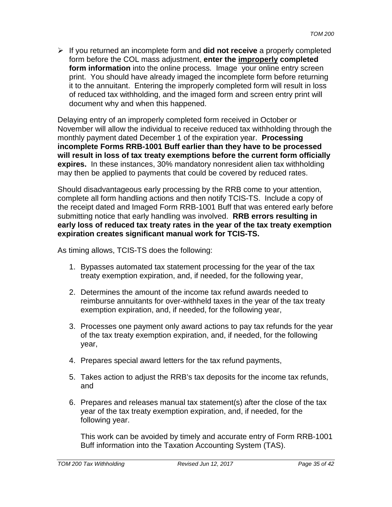If you returned an incomplete form and **did not receive** a properly completed form before the COL mass adjustment, **enter the improperly completed form information** into the online process. Image your online entry screen print. You should have already imaged the incomplete form before returning it to the annuitant. Entering the improperly completed form will result in loss of reduced tax withholding, and the imaged form and screen entry print will document why and when this happened.

Delaying entry of an improperly completed form received in October or November will allow the individual to receive reduced tax withholding through the monthly payment dated December 1 of the expiration year. **Processing incomplete Forms RRB-1001 Buff earlier than they have to be processed will result in loss of tax treaty exemptions before the current form officially expires.** In these instances, 30% mandatory nonresident alien tax withholding may then be applied to payments that could be covered by reduced rates.

Should disadvantageous early processing by the RRB come to your attention, complete all form handling actions and then notify TCIS-TS. Include a copy of the receipt dated and Imaged Form RRB-1001 Buff that was entered early before submitting notice that early handling was involved. **RRB errors resulting in early loss of reduced tax treaty rates in the year of the tax treaty exemption expiration creates significant manual work for TCIS-TS.**

As timing allows, TCIS-TS does the following:

- 1. Bypasses automated tax statement processing for the year of the tax treaty exemption expiration, and, if needed, for the following year,
- 2. Determines the amount of the income tax refund awards needed to reimburse annuitants for over-withheld taxes in the year of the tax treaty exemption expiration, and, if needed, for the following year,
- 3. Processes one payment only award actions to pay tax refunds for the year of the tax treaty exemption expiration, and, if needed, for the following year,
- 4. Prepares special award letters for the tax refund payments,
- 5. Takes action to adjust the RRB's tax deposits for the income tax refunds, and
- 6. Prepares and releases manual tax statement(s) after the close of the tax year of the tax treaty exemption expiration, and, if needed, for the following year.

This work can be avoided by timely and accurate entry of Form RRB-1001 Buff information into the Taxation Accounting System (TAS).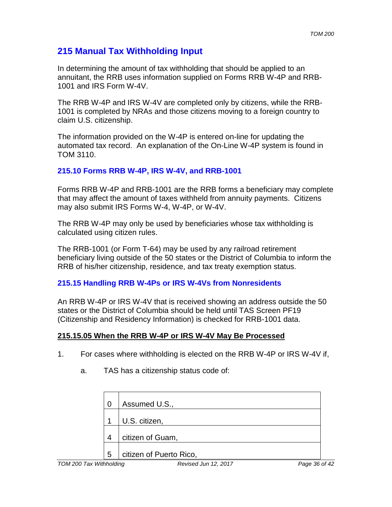# **215 Manual Tax Withholding Input**

In determining the amount of tax withholding that should be applied to an annuitant, the RRB uses information supplied on Forms RRB W-4P and RRB-1001 and IRS Form W-4V.

The RRB W-4P and IRS W-4V are completed only by citizens, while the RRB-1001 is completed by NRAs and those citizens moving to a foreign country to claim U.S. citizenship.

The information provided on the W-4P is entered on-line for updating the automated tax record. An explanation of the On-Line W-4P system is found in TOM 3110.

# **215.10 Forms RRB W-4P, IRS W-4V, and RRB-1001**

Forms RRB W-4P and RRB-1001 are the RRB forms a beneficiary may complete that may affect the amount of taxes withheld from annuity payments. Citizens may also submit IRS Forms W-4, W-4P, or W-4V.

The RRB W-4P may only be used by beneficiaries whose tax withholding is calculated using citizen rules.

The RRB-1001 (or Form T-64) may be used by any railroad retirement beneficiary living outside of the 50 states or the District of Columbia to inform the RRB of his/her citizenship, residence, and tax treaty exemption status.

# **215.15 Handling RRB W-4Ps or IRS W-4Vs from Nonresidents**

An RRB W-4P or IRS W-4V that is received showing an address outside the 50 states or the District of Columbia should be held until TAS Screen PF19 (Citizenship and Residency Information) is checked for RRB-1001 data.

# **215.15.05 When the RRB W-4P or IRS W-4V May Be Processed**

1. For cases where withholding is elected on the RRB W-4P or IRS W-4V if,

|   | Assumed U.S.,           |
|---|-------------------------|
|   | U.S. citizen,           |
|   | citizen of Guam,        |
| 5 | citizen of Puerto Rico, |

a. TAS has a citizenship status code of: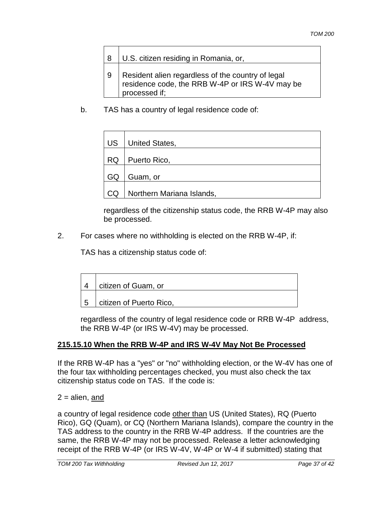| 8 | U.S. citizen residing in Romania, or,                                                                                 |
|---|-----------------------------------------------------------------------------------------------------------------------|
| 9 | Resident alien regardless of the country of legal<br>residence code, the RRB W-4P or IRS W-4V may be<br>processed if: |

b. TAS has a country of legal residence code of:

| US        | United States,            |
|-----------|---------------------------|
| <b>RQ</b> | Puerto Rico,              |
| GQ        | Guam, or                  |
| CQ        | Northern Mariana Islands, |

regardless of the citizenship status code, the RRB W-4P may also be processed.

2. For cases where no withholding is elected on the RRB W-4P, if:

TAS has a citizenship status code of:

|     | citizen of Guam, or     |
|-----|-------------------------|
| - 5 | citizen of Puerto Rico, |

regardless of the country of legal residence code or RRB W-4P address, the RRB W-4P (or IRS W-4V) may be processed.

# **215.15.10 When the RRB W-4P and IRS W-4V May Not Be Processed**

If the RRB W-4P has a "yes" or "no" withholding election, or the W-4V has one of the four tax withholding percentages checked, you must also check the tax citizenship status code on TAS. If the code is:

 $2 =$ alien, and

a country of legal residence code other than US (United States), RQ (Puerto Rico), GQ (Quam), or CQ (Northern Mariana Islands), compare the country in the TAS address to the country in the RRB W-4P address. If the countries are the same, the RRB W-4P may not be processed. Release a letter acknowledging receipt of the RRB W-4P (or IRS W-4V, W-4P or W-4 if submitted) stating that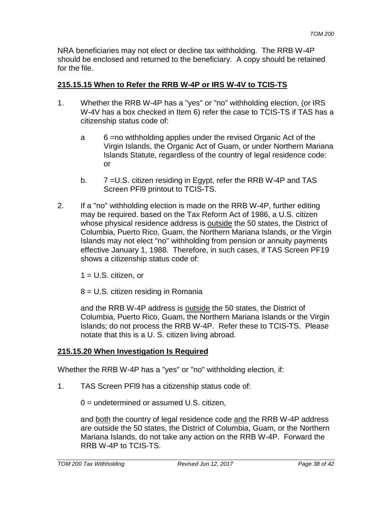NRA beneficiaries may not elect or decline tax withholding. The RRB W-4P should be enclosed and returned to the beneficiary. A copy should be retained for the file.

## **215.15.15 When to Refer the RRB W-4P or IRS W-4V to TCIS-TS**

- 1. Whether the RRB W-4P has a "yes" or "no" withholding election, (or IRS W-4V has a box checked in Item 6) refer the case to TCIS-TS if TAS has a citizenship status code of:
	- a 6 =no withholding applies under the revised Organic Act of the Virgin Islands, the Organic Act of Guam, or under Northern Mariana Islands Statute, regardless of the country of legal residence code: or
	- b. 7 = U.S. citizen residing in Egypt, refer the RRB W-4P and TAS Screen PFl9 printout to TCIS-TS.
- 2. If a "no" withholding election is made on the RRB W-4P, further editing may be required. based on the Tax Reform Act of 1986, a U.S. citizen whose physical residence address is outside the 50 states, the District of Columbia, Puerto Rico, Guam, the Northern Mariana Islands, or the Virgin Islands may not elect "no" withholding from pension or annuity payments effective January 1, 1988. Therefore, in such cases, if TAS Screen PF19 shows a citizenship status code of:

 $1 = U.S.$  citizen, or

8 = U.S. citizen residing in Romania

and the RRB W-4P address is outside the 50 states, the District of Columbia, Puerto Rico, Guam, the Northern Mariana Islands or the Virgin Islands; do not process the RRB W-4P. Refer these to TCIS-TS. Please notate that this is a U. S. citizen living abroad.

# **215.15.20 When Investigation Is Required**

Whether the RRB W-4P has a "yes" or "no" withholding election, if:

1. TAS Screen PFl9 has a citizenship status code of:

0 = undetermined or assumed U.S. citizen,

and both the country of legal residence code and the RRB W-4P address are outside the 50 states, the District of Columbia, Guam, or the Northern Mariana Islands, do not take any action on the RRB W-4P. Forward the RRB W-4P to TCIS-TS.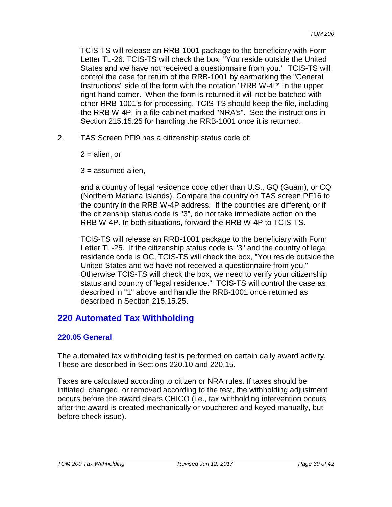TCIS-TS will release an RRB-1001 package to the beneficiary with Form Letter TL-26. TCIS-TS will check the box, "You reside outside the United States and we have not received a questionnaire from you." TCIS-TS will control the case for return of the RRB-1001 by earmarking the "General Instructions" side of the form with the notation "RRB W-4P" in the upper right-hand corner. When the form is returned it will not be batched with other RRB-1001's for processing. TCIS-TS should keep the file, including the RRB W-4P, in a file cabinet marked "NRA's". See the instructions in Section 215.15.25 for handling the RRB-1001 once it is returned.

2. TAS Screen PFl9 has a citizenship status code of:

 $2 =$ alien, or

 $3 =$  assumed alien.

and a country of legal residence code other than U.S., GQ (Guam), or CQ (Northern Mariana Islands). Compare the country on TAS screen PF16 to the country in the RRB W-4P address. If the countries are different, or if the citizenship status code is "3", do not take immediate action on the RRB W-4P. In both situations, forward the RRB W-4P to TCIS-TS.

TCIS-TS will release an RRB-1001 package to the beneficiary with Form Letter TL-25. If the citizenship status code is "3" and the country of legal residence code is OC, TCIS-TS will check the box, "You reside outside the United States and we have not received a questionnaire from you." Otherwise TCIS-TS will check the box, we need to verify your citizenship status and country of 'legal residence." TCIS-TS will control the case as described in "1" above and handle the RRB-1001 once returned as described in Section 215.15.25.

# **220 Automated Tax Withholding**

# **220.05 General**

The automated tax withholding test is performed on certain daily award activity. These are described in Sections 220.10 and 220.15.

Taxes are calculated according to citizen or NRA rules. If taxes should be initiated, changed, or removed according to the test, the withholding adjustment occurs before the award clears CHICO (i.e., tax withholding intervention occurs after the award is created mechanically or vouchered and keyed manually, but before check issue).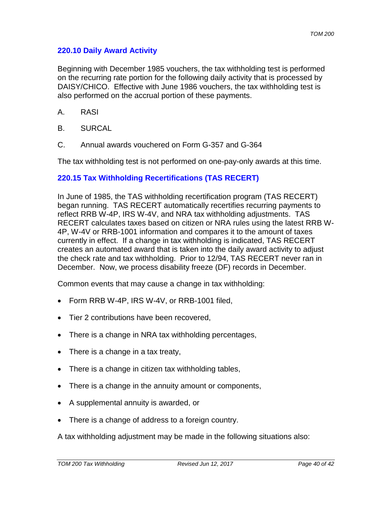### **220.10 Daily Award Activity**

Beginning with December 1985 vouchers, the tax withholding test is performed on the recurring rate portion for the following daily activity that is processed by DAISY/CHICO. Effective with June 1986 vouchers, the tax withholding test is also performed on the accrual portion of these payments.

- A. RASI
- B. SURCAL
- C. Annual awards vouchered on Form G-357 and G-364

The tax withholding test is not performed on one-pay-only awards at this time.

#### **220.15 Tax Withholding Recertifications (TAS RECERT)**

In June of 1985, the TAS withholding recertification program (TAS RECERT) began running. TAS RECERT automatically recertifies recurring payments to reflect RRB W-4P, IRS W-4V, and NRA tax withholding adjustments. TAS RECERT calculates taxes based on citizen or NRA rules using the latest RRB W-4P, W-4V or RRB-1001 information and compares it to the amount of taxes currently in effect. If a change in tax withholding is indicated, TAS RECERT creates an automated award that is taken into the daily award activity to adjust the check rate and tax withholding. Prior to 12/94, TAS RECERT never ran in December. Now, we process disability freeze (DF) records in December.

Common events that may cause a change in tax withholding:

- Form RRB W-4P, IRS W-4V, or RRB-1001 filed,
- Tier 2 contributions have been recovered.
- There is a change in NRA tax withholding percentages,
- There is a change in a tax treaty,
- There is a change in citizen tax withholding tables,
- There is a change in the annuity amount or components,
- A supplemental annuity is awarded, or
- There is a change of address to a foreign country.

A tax withholding adjustment may be made in the following situations also: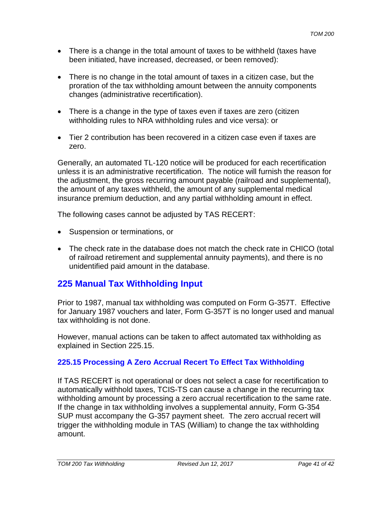- There is a change in the total amount of taxes to be withheld (taxes have been initiated, have increased, decreased, or been removed):
- There is no change in the total amount of taxes in a citizen case, but the proration of the tax withholding amount between the annuity components changes (administrative recertification).
- There is a change in the type of taxes even if taxes are zero (citizen withholding rules to NRA withholding rules and vice versa): or
- Tier 2 contribution has been recovered in a citizen case even if taxes are zero.

Generally, an automated TL-120 notice will be produced for each recertification unless it is an administrative recertification. The notice will furnish the reason for the adjustment, the gross recurring amount payable (railroad and supplemental), the amount of any taxes withheld, the amount of any supplemental medical insurance premium deduction, and any partial withholding amount in effect.

The following cases cannot be adjusted by TAS RECERT:

- Suspension or terminations, or
- The check rate in the database does not match the check rate in CHICO (total of railroad retirement and supplemental annuity payments), and there is no unidentified paid amount in the database.

# **225 Manual Tax Withholding Input**

Prior to 1987, manual tax withholding was computed on Form G-357T. Effective for January 1987 vouchers and later, Form G-357T is no longer used and manual tax withholding is not done.

However, manual actions can be taken to affect automated tax withholding as explained in Section 225.15.

# **225.15 Processing A Zero Accrual Recert To Effect Tax Withholding**

If TAS RECERT is not operational or does not select a case for recertification to automatically withhold taxes, TCIS-TS can cause a change in the recurring tax withholding amount by processing a zero accrual recertification to the same rate. If the change in tax withholding involves a supplemental annuity, Form G-354 SUP must accompany the G-357 payment sheet. The zero accrual recert will trigger the withholding module in TAS (William) to change the tax withholding amount.